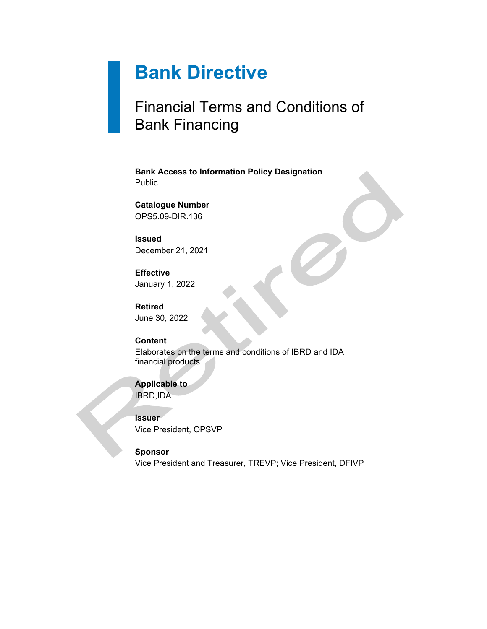# **Bank Directive**

## Financial Terms and Conditions of Bank Financing

**Bank Access to Information Policy Designation** Public

**Catalogue Number** OPS5.09-DIR.136

**Issued** December 21, 2021

**Effective** January 1, 2022

**Retired** June 30, 2022

## **Content**

Elaborates on the terms and conditions of IBRD and IDA financial products.

**Applicable to** IBRD,IDA

**Issuer** Vice President, OPSVP

**Sponsor** Vice President and Treasurer, TREVP; Vice President, DFIVP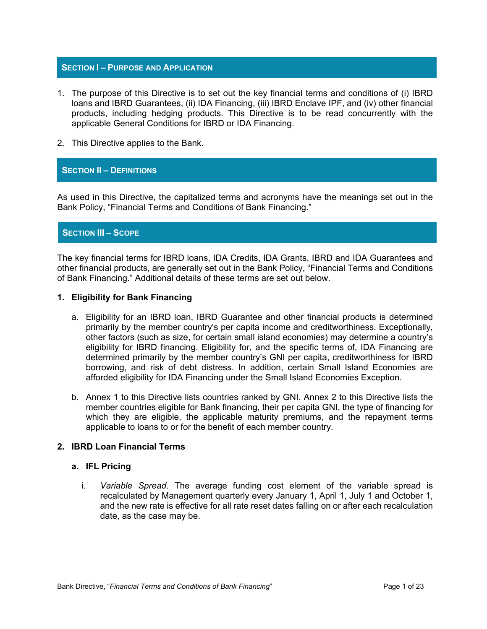#### **SECTION I – PURPOSE AND APPLICATION**

- 1. The purpose of this Directive is to set out the key financial terms and conditions of (i) IBRD loans and IBRD Guarantees, (ii) IDA Financing, (iii) IBRD Enclave IPF, and (iv) other financial products, including hedging products. This Directive is to be read concurrently with the applicable General Conditions for IBRD or IDA Financing.
- 2. This Directive applies to the Bank.

#### **SECTION II – DEFINITIONS**

As used in this Directive, the capitalized terms and acronyms have the meanings set out in the Bank Policy, "Financial Terms and Conditions of Bank Financing."

#### **SECTION III – SCOPE**

The key financial terms for IBRD loans, IDA Credits, IDA Grants, IBRD and IDA Guarantees and other financial products, are generally set out in the Bank Policy, "Financial Terms and Conditions of Bank Financing." Additional details of these terms are set out below.

#### **1. Eligibility for Bank Financing**

- a. Eligibility for an IBRD loan, IBRD Guarantee and other financial products is determined primarily by the member country's per capita income and creditworthiness. Exceptionally, other factors (such as size, for certain small island economies) may determine a country's eligibility for IBRD financing. Eligibility for, and the specific terms of, IDA Financing are determined primarily by the member country's GNI per capita, creditworthiness for IBRD borrowing, and risk of debt distress. In addition, certain Small Island Economies are afforded eligibility for IDA Financing under the Small Island Economies Exception.
- b. Annex 1 to this Directive lists countries ranked by GNI. Annex 2 to this Directive lists the member countries eligible for Bank financing, their per capita GNI, the type of financing for which they are eligible, the applicable maturity premiums, and the repayment terms applicable to loans to or for the benefit of each member country.

#### **2. IBRD Loan Financial Terms**

#### **a. IFL Pricing**

i. *Variable Spread*. The average funding cost element of the variable spread is recalculated by Management quarterly every January 1, April 1, July 1 and October 1, and the new rate is effective for all rate reset dates falling on or after each recalculation date, as the case may be.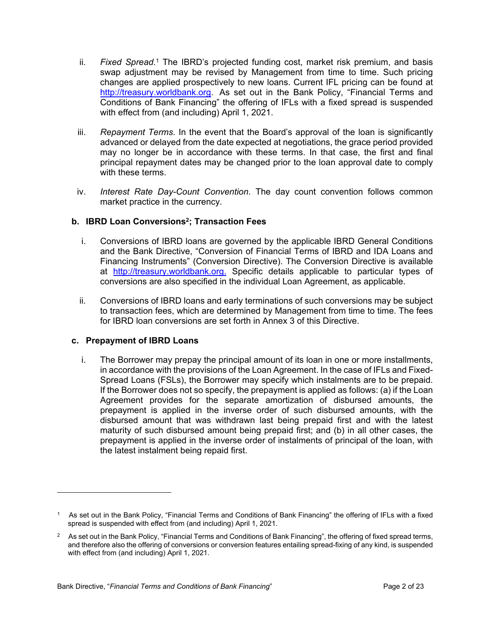- ii. Fixed Spread.<sup>1</sup> The IBRD's projected funding cost, market risk premium, and basis swap adjustment may be revised by Management from time to time. Such pricing changes are applied prospectively to new loans. Current IFL pricing can be found at [http://treasury.worldbank.org](http://treasury.worldbank.org/). As set out in the Bank Policy, "Financial Terms and Conditions of Bank Financing" the offering of IFLs with a fixed spread is suspended with effect from (and including) April 1, 2021.
- iii. *Repayment Terms*. In the event that the Board's approval of the loan is significantly advanced or delayed from the date expected at negotiations, the grace period provided may no longer be in accordance with these terms. In that case, the first and final principal repayment dates may be changed prior to the loan approval date to comply with these terms.
- iv. *Interest Rate Day-Count Convention*. The day count convention follows common market practice in the currency.

## **b. IBRD Loan Conversions<sup>2</sup> ; Transaction Fees**

- i. Conversions of IBRD loans are governed by the applicable IBRD General Conditions and the Bank Directive, "Conversion of Financial Terms of IBRD and IDA Loans and Financing Instruments" (Conversion Directive). The Conversion Directive is available at [http://treasury.worldbank.org.](http://treasury.worldbank.org/) Specific details applicable to particular types of conversions are also specified in the individual Loan Agreement, as applicable.
- ii. Conversions of IBRD loans and early terminations of such conversions may be subject to transaction fees, which are determined by Management from time to time. The fees for IBRD loan conversions are set forth in Annex 3 of this Directive.

#### **c. Prepayment of IBRD Loans**

i. The Borrower may prepay the principal amount of its loan in one or more installments, in accordance with the provisions of the Loan Agreement. In the case of IFLs and Fixed-Spread Loans (FSLs), the Borrower may specify which instalments are to be prepaid. If the Borrower does not so specify, the prepayment is applied as follows: (a) if the Loan Agreement provides for the separate amortization of disbursed amounts, the prepayment is applied in the inverse order of such disbursed amounts, with the disbursed amount that was withdrawn last being prepaid first and with the latest maturity of such disbursed amount being prepaid first; and (b) in all other cases, the prepayment is applied in the inverse order of instalments of principal of the loan, with the latest instalment being repaid first.

<sup>1</sup> As set out in the Bank Policy, "Financial Terms and Conditions of Bank Financing" the offering of IFLs with a fixed spread is suspended with effect from (and including) April 1, 2021.

 $2$  As set out in the Bank Policy, "Financial Terms and Conditions of Bank Financing", the offering of fixed spread terms, and therefore also the offering of conversions or conversion features entailing spread-fixing of any kind, is suspended with effect from (and including) April 1, 2021.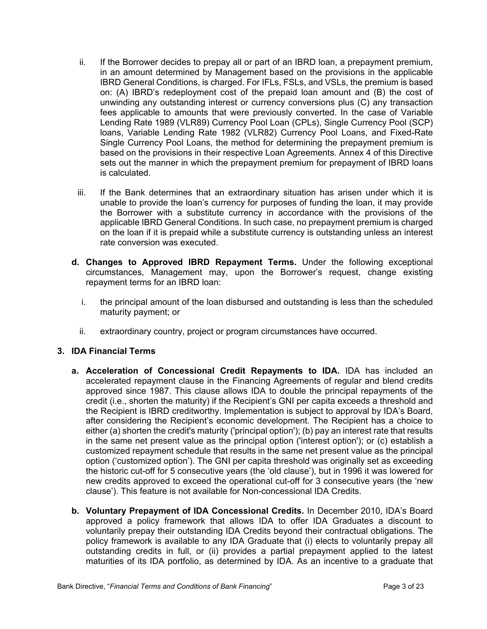- ii. If the Borrower decides to prepay all or part of an IBRD loan, a prepayment premium, in an amount determined by Management based on the provisions in the applicable IBRD General Conditions, is charged. For IFLs, FSLs, and VSLs, the premium is based on: (A) IBRD's redeployment cost of the prepaid loan amount and (B) the cost of unwinding any outstanding interest or currency conversions plus (C) any transaction fees applicable to amounts that were previously converted. In the case of Variable Lending Rate 1989 (VLR89) Currency Pool Loan (CPLs), Single Currency Pool (SCP) loans, Variable Lending Rate 1982 (VLR82) Currency Pool Loans, and Fixed-Rate Single Currency Pool Loans, the method for determining the prepayment premium is based on the provisions in their respective Loan Agreements. Annex 4 of this Directive sets out the manner in which the prepayment premium for prepayment of IBRD loans is calculated.
- iii. If the Bank determines that an extraordinary situation has arisen under which it is unable to provide the loan's currency for purposes of funding the loan, it may provide the Borrower with a substitute currency in accordance with the provisions of the applicable IBRD General Conditions. In such case, no prepayment premium is charged on the loan if it is prepaid while a substitute currency is outstanding unless an interest rate conversion was executed.
- **d. Changes to Approved IBRD Repayment Terms.** Under the following exceptional circumstances, Management may, upon the Borrower's request, change existing repayment terms for an IBRD loan:
	- i. the principal amount of the loan disbursed and outstanding is less than the scheduled maturity payment; or
	- ii. extraordinary country, project or program circumstances have occurred.

## **3. IDA Financial Terms**

- **a. Acceleration of Concessional Credit Repayments to IDA.** IDA has included an accelerated repayment clause in the Financing Agreements of regular and blend credits approved since 1987. This clause allows IDA to double the principal repayments of the credit (i.e., shorten the maturity) if the Recipient's GNI per capita exceeds a threshold and the Recipient is IBRD creditworthy. Implementation is subject to approval by IDA's Board, after considering the Recipient's economic development. The Recipient has a choice to either (a) shorten the credit's maturity ('principal option'); (b) pay an interest rate that results in the same net present value as the principal option ('interest option'); or (c) establish a customized repayment schedule that results in the same net present value as the principal option ('customized option'). The GNI per capita threshold was originally set as exceeding the historic cut-off for 5 consecutive years (the 'old clause'), but in 1996 it was lowered for new credits approved to exceed the operational cut-off for 3 consecutive years (the 'new clause'). This feature is not available for Non-concessional IDA Credits.
- **b. Voluntary Prepayment of IDA Concessional Credits.** In December 2010, IDA's Board approved a policy framework that allows IDA to offer IDA Graduates a discount to voluntarily prepay their outstanding IDA Credits beyond their contractual obligations. The policy framework is available to any IDA Graduate that (i) elects to voluntarily prepay all outstanding credits in full, or (ii) provides a partial prepayment applied to the latest maturities of its IDA portfolio, as determined by IDA. As an incentive to a graduate that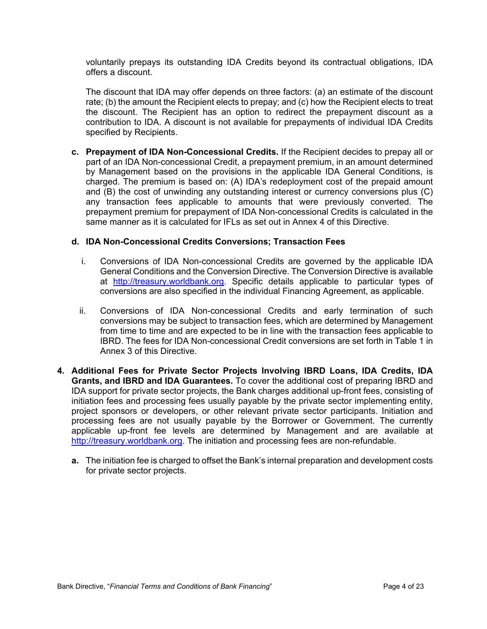voluntarily prepays its outstanding IDA Credits beyond its contractual obligations, IDA offers a discount.

The discount that IDA may offer depends on three factors: (a) an estimate of the discount rate; (b) the amount the Recipient elects to prepay; and (c) how the Recipient elects to treat the discount. The Recipient has an option to redirect the prepayment discount as a contribution to IDA. A discount is not available for prepayments of individual IDA Credits specified by Recipients.

**c. Prepayment of IDA Non-Concessional Credits.** If the Recipient decides to prepay all or part of an IDA Non-concessional Credit, a prepayment premium, in an amount determined by Management based on the provisions in the applicable IDA General Conditions, is charged. The premium is based on: (A) IDA's redeployment cost of the prepaid amount and (B) the cost of unwinding any outstanding interest or currency conversions plus (C) any transaction fees applicable to amounts that were previously converted. The prepayment premium for prepayment of IDA Non-concessional Credits is calculated in the same manner as it is calculated for IFLs as set out in Annex 4 of this Directive.

#### **d. IDA Non-Concessional Credits Conversions; Transaction Fees**

- i. Conversions of IDA Non-concessional Credits are governed by the applicable IDA General Conditions and the Conversion Directive. The Conversion Directive is available at [http://treasury.worldbank.org.](http://treasury.worldbank.org/) Specific details applicable to particular types of conversions are also specified in the individual Financing Agreement, as applicable.
- ii. Conversions of IDA Non-concessional Credits and early termination of such conversions may be subject to transaction fees, which are determined by Management from time to time and are expected to be in line with the transaction fees applicable to IBRD. The fees for IDA Non-concessional Credit conversions are set forth in Table 1 in Annex 3 of this Directive.
- **4. Additional Fees for Private Sector Projects Involving IBRD Loans, IDA Credits, IDA Grants, and IBRD and IDA Guarantees.** To cover the additional cost of preparing IBRD and IDA support for private sector projects, the Bank charges additional up-front fees, consisting of initiation fees and processing fees usually payable by the private sector implementing entity, project sponsors or developers, or other relevant private sector participants. Initiation and processing fees are not usually payable by the Borrower or Government. The currently applicable up-front fee levels are determined by Management and are available at [http://treasury.worldbank.org](http://treasury.worldbank.org/). The initiation and processing fees are non-refundable.
	- **a.** The initiation fee is charged to offset the Bank's internal preparation and development costs for private sector projects.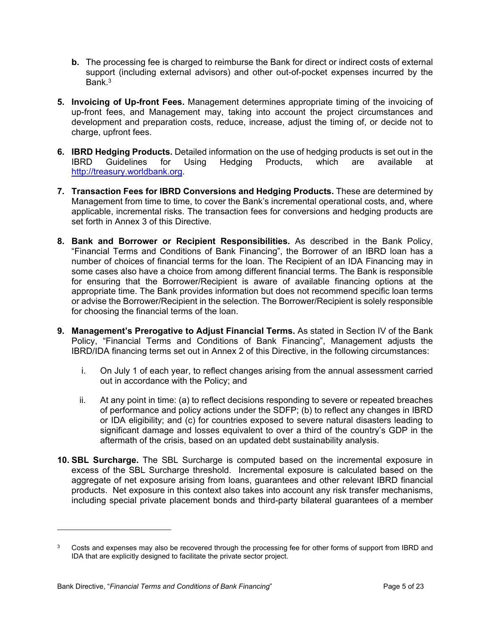- **b.** The processing fee is charged to reimburse the Bank for direct or indirect costs of external support (including external advisors) and other out-of-pocket expenses incurred by the Bank $3$
- **5. Invoicing of Up-front Fees.** Management determines appropriate timing of the invoicing of up-front fees, and Management may, taking into account the project circumstances and development and preparation costs, reduce, increase, adjust the timing of, or decide not to charge, upfront fees.
- **6. IBRD Hedging Products.** Detailed information on the use of hedging products is set out in the IBRD Guidelines for Using Hedging Products, which are available at [http://treasury.worldbank.org](http://treasury.worldbank.org/).
- **7. Transaction Fees for IBRD Conversions and Hedging Products.** These are determined by Management from time to time, to cover the Bank's incremental operational costs, and, where applicable, incremental risks. The transaction fees for conversions and hedging products are set forth in Annex 3 of this Directive.
- **8. Bank and Borrower or Recipient Responsibilities.** As described in the Bank Policy, "Financial Terms and Conditions of Bank Financing", the Borrower of an IBRD loan has a number of choices of financial terms for the loan. The Recipient of an IDA Financing may in some cases also have a choice from among different financial terms. The Bank is responsible for ensuring that the Borrower/Recipient is aware of available financing options at the appropriate time. The Bank provides information but does not recommend specific loan terms or advise the Borrower/Recipient in the selection. The Borrower/Recipient is solely responsible for choosing the financial terms of the loan.
- **9. Management's Prerogative to Adjust Financial Terms.** As stated in Section IV of the Bank Policy, "Financial Terms and Conditions of Bank Financing", Management adjusts the IBRD/IDA financing terms set out in Annex 2 of this Directive, in the following circumstances:
	- i. On July 1 of each year, to reflect changes arising from the annual assessment carried out in accordance with the Policy; and
	- ii. At any point in time: (a) to reflect decisions responding to severe or repeated breaches of performance and policy actions under the SDFP; (b) to reflect any changes in IBRD or IDA eligibility; and (c) for countries exposed to severe natural disasters leading to significant damage and losses equivalent to over a third of the country's GDP in the aftermath of the crisis, based on an updated debt sustainability analysis.
- **10. SBL Surcharge.** The SBL Surcharge is computed based on the incremental exposure in excess of the SBL Surcharge threshold. Incremental exposure is calculated based on the aggregate of net exposure arising from loans, guarantees and other relevant IBRD financial products. Net exposure in this context also takes into account any risk transfer mechanisms, including special private placement bonds and third-party bilateral guarantees of a member

<sup>3</sup> Costs and expenses may also be recovered through the processing fee for other forms of support from IBRD and IDA that are explicitly designed to facilitate the private sector project.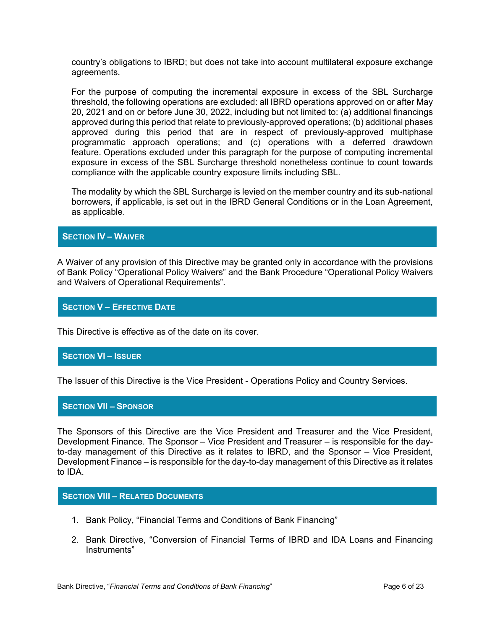country's obligations to IBRD; but does not take into account multilateral exposure exchange agreements.

For the purpose of computing the incremental exposure in excess of the SBL Surcharge threshold, the following operations are excluded: all IBRD operations approved on or after May 20, 2021 and on or before June 30, 2022, including but not limited to: (a) additional financings approved during this period that relate to previously-approved operations; (b) additional phases approved during this period that are in respect of previously-approved multiphase programmatic approach operations; and (c) operations with a deferred drawdown feature. Operations excluded under this paragraph for the purpose of computing incremental exposure in excess of the SBL Surcharge threshold nonetheless continue to count towards compliance with the applicable country exposure limits including SBL.

The modality by which the SBL Surcharge is levied on the member country and its sub-national borrowers, if applicable, is set out in the IBRD General Conditions or in the Loan Agreement, as applicable.

#### **SECTION IV – WAIVER**

A Waiver of any provision of this Directive may be granted only in accordance with the provisions of Bank Policy "Operational Policy Waivers" and the Bank Procedure "Operational Policy Waivers and Waivers of Operational Requirements".

#### **SECTION V – EFFECTIVE DATE**

This Directive is effective as of the date on its cover.

#### **SECTION VI – ISSUER**

The Issuer of this Directive is the Vice President - Operations Policy and Country Services.

#### **SECTION VII – SPONSOR**

The Sponsors of this Directive are the Vice President and Treasurer and the Vice President, Development Finance. The Sponsor – Vice President and Treasurer – is responsible for the dayto-day management of this Directive as it relates to IBRD, and the Sponsor – Vice President, Development Finance – is responsible for the day-to-day management of this Directive as it relates to IDA.

#### **SECTION VIII – RELATED DOCUMENTS**

- 1. Bank Policy, "Financial Terms and Conditions of Bank Financing"
- 2. Bank Directive, "Conversion of Financial Terms of IBRD and IDA Loans and Financing Instruments"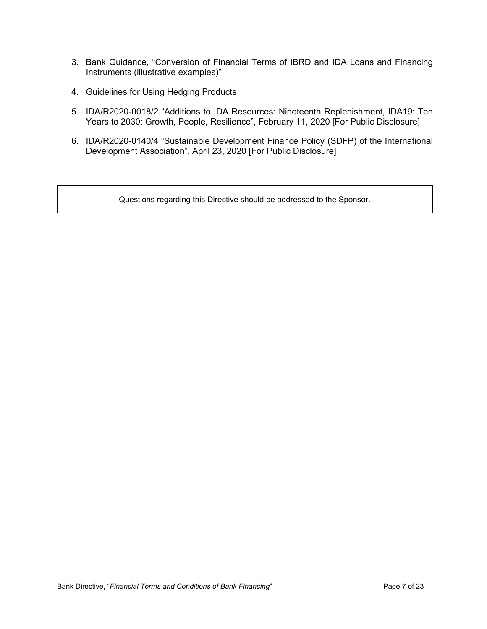- 3. Bank Guidance, "Conversion of Financial Terms of IBRD and IDA Loans and Financing Instruments (illustrative examples)"
- 4. Guidelines for Using Hedging Products
- 5. IDA/R2020-0018/2 "Additions to IDA Resources: Nineteenth Replenishment, IDA19: Ten Years to 2030: Growth, People, Resilience", February 11, 2020 [For Public Disclosure]
- 6. IDA/R2020-0140/4 "Sustainable Development Finance Policy (SDFP) of the International Development Association", April 23, 2020 [For Public Disclosure]

Questions regarding this Directive should be addressed to the Sponsor.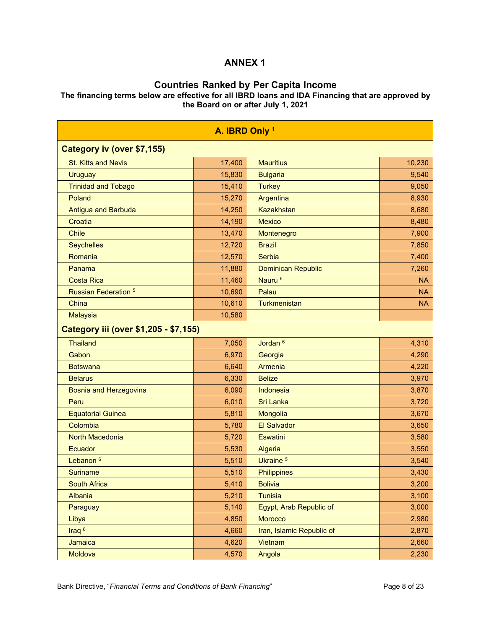## **Countries Ranked by Per Capita Income**

**The financing terms below are effective for all IBRD loans and IDA Financing that are approved by the Board on or after July 1, 2021** 

| A. IBRD Only 1                        |        |                           |           |  |  |  |  |
|---------------------------------------|--------|---------------------------|-----------|--|--|--|--|
| Category iv (over \$7,155)            |        |                           |           |  |  |  |  |
| <b>St. Kitts and Nevis</b>            | 17,400 | <b>Mauritius</b>          | 10,230    |  |  |  |  |
| <b>Uruguay</b>                        | 15,830 | <b>Bulgaria</b>           | 9,540     |  |  |  |  |
| <b>Trinidad and Tobago</b>            | 15,410 | <b>Turkey</b>             | 9,050     |  |  |  |  |
| Poland                                | 15,270 | Argentina                 | 8,930     |  |  |  |  |
| <b>Antigua and Barbuda</b>            | 14,250 | <b>Kazakhstan</b>         | 8,680     |  |  |  |  |
| Croatia                               | 14,190 | <b>Mexico</b>             | 8,480     |  |  |  |  |
| <b>Chile</b>                          | 13,470 | Montenegro                | 7,900     |  |  |  |  |
| <b>Seychelles</b>                     | 12,720 | <b>Brazil</b>             | 7,850     |  |  |  |  |
| Romania                               | 12,570 | Serbia                    | 7,400     |  |  |  |  |
| Panama                                | 11,880 | <b>Dominican Republic</b> | 7,260     |  |  |  |  |
| <b>Costa Rica</b>                     | 11,460 | Nauru <sup>6</sup>        | <b>NA</b> |  |  |  |  |
| <b>Russian Federation 5</b>           | 10,690 | Palau                     | <b>NA</b> |  |  |  |  |
| China                                 | 10,610 | Turkmenistan              | <b>NA</b> |  |  |  |  |
| <b>Malaysia</b>                       | 10,580 |                           |           |  |  |  |  |
| Category iii (over \$1,205 - \$7,155) |        |                           |           |  |  |  |  |
| <b>Thailand</b>                       | 7,050  | Jordan <sup>6</sup>       | 4,310     |  |  |  |  |
| Gabon                                 | 6,970  | Georgia                   | 4,290     |  |  |  |  |
| <b>Botswana</b>                       | 6,640  | Armenia                   | 4,220     |  |  |  |  |
| <b>Belarus</b>                        | 6,330  | <b>Belize</b>             | 3,970     |  |  |  |  |
| <b>Bosnia and Herzegovina</b>         | 6,090  | Indonesia                 | 3,870     |  |  |  |  |
| Peru                                  | 6,010  | <b>Sri Lanka</b>          | 3,720     |  |  |  |  |
| <b>Equatorial Guinea</b>              | 5,810  | Mongolia                  | 3,670     |  |  |  |  |
| Colombia                              | 5,780  | <b>El Salvador</b>        | 3,650     |  |  |  |  |
| <b>North Macedonia</b>                | 5,720  | <b>Eswatini</b>           | 3,580     |  |  |  |  |
| <b>Ecuador</b>                        | 5,530  | Algeria                   | 3,550     |  |  |  |  |
| Lebanon <sup>6</sup>                  | 5,510  | Ukraine <sup>5</sup>      | 3,540     |  |  |  |  |
| <b>Suriname</b>                       | 5,510  | <b>Philippines</b>        | 3,430     |  |  |  |  |
| <b>South Africa</b>                   | 5,410  | <b>Bolivia</b>            | 3,200     |  |  |  |  |
| Albania                               | 5,210  | <b>Tunisia</b>            | 3,100     |  |  |  |  |
| Paraguay                              | 5,140  | Egypt, Arab Republic of   | 3,000     |  |  |  |  |
| Libya                                 | 4,850  | Morocco                   | 2,980     |  |  |  |  |
| Iraq <sup>6</sup>                     | 4,660  | Iran, Islamic Republic of | 2,870     |  |  |  |  |
| Jamaica                               | 4,620  | Vietnam                   | 2,660     |  |  |  |  |
| Moldova                               | 4,570  | Angola                    | 2,230     |  |  |  |  |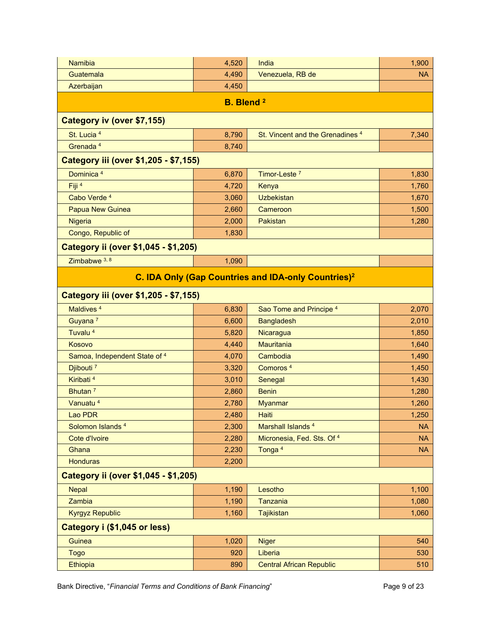| <b>Namibia</b>                        | 4,520 | India                                                           | 1,900     |  |  |  |  |  |
|---------------------------------------|-------|-----------------------------------------------------------------|-----------|--|--|--|--|--|
| Guatemala                             | 4,490 | Venezuela, RB de                                                | <b>NA</b> |  |  |  |  |  |
| Azerbaijan                            | 4,450 |                                                                 |           |  |  |  |  |  |
|                                       |       |                                                                 |           |  |  |  |  |  |
| <b>B.</b> Blend <sup>2</sup>          |       |                                                                 |           |  |  |  |  |  |
| Category iv (over \$7,155)            |       |                                                                 |           |  |  |  |  |  |
| St. Lucia <sup>4</sup>                | 8,790 | St. Vincent and the Grenadines <sup>4</sup>                     | 7,340     |  |  |  |  |  |
| Grenada <sup>4</sup>                  | 8,740 |                                                                 |           |  |  |  |  |  |
| Category iii (over \$1,205 - \$7,155) |       |                                                                 |           |  |  |  |  |  |
| Dominica <sup>4</sup>                 | 6,870 | Timor-Leste <sup>7</sup>                                        | 1,830     |  |  |  |  |  |
| Fiji <sup>4</sup>                     | 4,720 | Kenya                                                           | 1,760     |  |  |  |  |  |
| Cabo Verde 4                          | 3,060 | <b>Uzbekistan</b>                                               | 1,670     |  |  |  |  |  |
| <b>Papua New Guinea</b>               | 2,660 | Cameroon                                                        | 1,500     |  |  |  |  |  |
| Nigeria                               | 2,000 | Pakistan                                                        | 1,280     |  |  |  |  |  |
| Congo, Republic of                    | 1,830 |                                                                 |           |  |  |  |  |  |
| Category ii (over \$1,045 - \$1,205)  |       |                                                                 |           |  |  |  |  |  |
| Zimbabwe 3, 8                         | 1,090 |                                                                 |           |  |  |  |  |  |
|                                       |       | C. IDA Only (Gap Countries and IDA-only Countries) <sup>2</sup> |           |  |  |  |  |  |
|                                       |       |                                                                 |           |  |  |  |  |  |
| Category iii (over \$1,205 - \$7,155) |       |                                                                 |           |  |  |  |  |  |
| Maldives <sup>4</sup>                 | 6,830 | Sao Tome and Principe 4                                         | 2,070     |  |  |  |  |  |
| Guyana <sup>7</sup>                   | 6,600 | <b>Bangladesh</b>                                               | 2,010     |  |  |  |  |  |
| Tuvalu <sup>4</sup>                   | 5,820 | Nicaragua                                                       | 1,850     |  |  |  |  |  |
| Kosovo                                | 4,440 | <b>Mauritania</b>                                               | 1,640     |  |  |  |  |  |
| Samoa, Independent State of 4         | 4,070 | Cambodia                                                        | 1,490     |  |  |  |  |  |
| Djibouti <sup>7</sup>                 | 3,320 | Comoros <sup>4</sup>                                            | 1,450     |  |  |  |  |  |
| Kiribati <sup>4</sup>                 | 3,010 | Senegal                                                         | 1,430     |  |  |  |  |  |
| Bhutan <sup>7</sup>                   | 2,860 | <b>Benin</b>                                                    | 1,280     |  |  |  |  |  |
| Vanuatu <sup>4</sup>                  | 2,780 | <b>Myanmar</b>                                                  | 1,260     |  |  |  |  |  |
| Lao PDR                               | 2,480 | <b>Haiti</b>                                                    | 1,250     |  |  |  |  |  |
| Solomon Islands <sup>4</sup>          | 2,300 | Marshall Islands <sup>4</sup>                                   | <b>NA</b> |  |  |  |  |  |
| Cote d'Ivoire                         | 2,280 | Micronesia, Fed. Sts. Of 4                                      | <b>NA</b> |  |  |  |  |  |
| Ghana                                 | 2,230 | Tonga <sup>4</sup>                                              | <b>NA</b> |  |  |  |  |  |
| <b>Honduras</b>                       | 2,200 |                                                                 |           |  |  |  |  |  |
| Category ii (over \$1,045 - \$1,205)  |       |                                                                 |           |  |  |  |  |  |
| <b>Nepal</b>                          | 1,190 | Lesotho                                                         | 1,100     |  |  |  |  |  |
| Zambia                                | 1,190 | Tanzania                                                        | 1,080     |  |  |  |  |  |
| <b>Kyrgyz Republic</b>                | 1,160 | <b>Tajikistan</b>                                               | 1,060     |  |  |  |  |  |
| Category i (\$1,045 or less)          |       |                                                                 |           |  |  |  |  |  |
| Guinea                                | 1,020 | <b>Niger</b>                                                    | 540       |  |  |  |  |  |
| <b>Togo</b>                           | 920   | Liberia                                                         | 530       |  |  |  |  |  |
| Ethiopia                              | 890   | <b>Central African Republic</b>                                 | 510       |  |  |  |  |  |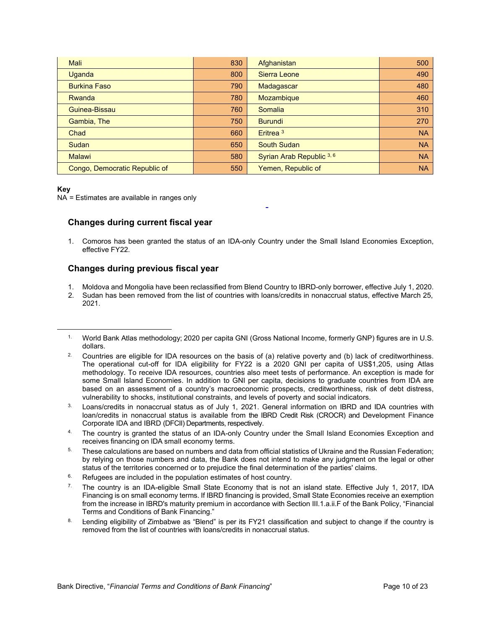| Mali                          | 830 | Afghanistan               | 500       |
|-------------------------------|-----|---------------------------|-----------|
| <b>Uganda</b>                 | 800 | Sierra Leone              | 490       |
| <b>Burkina Faso</b>           | 790 | Madagascar                | 480       |
| Rwanda                        | 780 | <b>Mozambique</b>         | 460       |
| Guinea-Bissau                 | 760 | Somalia                   | 310       |
| Gambia, The                   | 750 | <b>Burundi</b>            | 270       |
| Chad                          | 660 | Eritrea <sup>3</sup>      | <b>NA</b> |
| Sudan                         | 650 | <b>South Sudan</b>        | <b>NA</b> |
| <b>Malawi</b>                 | 580 | Syrian Arab Republic 3, 6 | <b>NA</b> |
| Congo, Democratic Republic of | 550 | Yemen, Republic of        | <b>NA</b> |

#### **Key**

NA = Estimates are available in ranges only

#### **Changes during current fiscal year**

1. Comoros has been granted the status of an IDA-only Country under the Small Island Economies Exception, effective FY22.

#### **Changes during previous fiscal year**

- 1. Moldova and Mongolia have been reclassified from Blend Country to IBRD-only borrower, effective July 1, 2020.
- 2. Sudan has been removed from the list of countries with loans/credits in nonaccrual status, effective March 25, 2021.

- 3. Loans/credits in nonaccrual status as of July 1, 2021. General information on IBRD and IDA countries with loan/credits in nonaccrual status is available from the IBRD Credit Risk (CROCR) and Development Finance Corporate IDA and IBRD (DFCII) Departments, respectively.
- 4. The country is granted the status of an IDA-only Country under the Small Island Economies Exception and receives financing on IDA small economy terms.
- $5.$  These calculations are based on numbers and data from official statistics of Ukraine and the Russian Federation; by relying on those numbers and data, the Bank does not intend to make any judgment on the legal or other status of the territories concerned or to prejudice the final determination of the parties' claims.
- Refugees are included in the population estimates of host country.
- <sup>7.</sup> The country is an IDA-eligible Small State Economy that is not an island state. Effective July 1, 2017, IDA Financing is on small economy terms. If IBRD financing is provided, Small State Economies receive an exemption from the increase in IBRD's maturity premium in accordance with Section III.1.a.ii.F of the Bank Policy, "Financial Terms and Conditions of Bank Financing."
- 8. Lending eligibility of Zimbabwe as "Blend" is per its FY21 classification and subject to change if the country is removed from the list of countries with loans/credits in nonaccrual status.

<sup>1.</sup> World Bank Atlas methodology; 2020 per capita GNI (Gross National Income, formerly GNP) figures are in U.S. dollars.

<sup>2.</sup> Countries are eligible for IDA resources on the basis of (a) relative poverty and (b) lack of creditworthiness. The operational cut-off for IDA eligibility for FY22 is a 2020 GNI per capita of US\$1,205, using Atlas methodology. To receive IDA resources, countries also meet tests of performance. An exception is made for some Small Island Economies. In addition to GNI per capita, decisions to graduate countries from IDA are based on an assessment of a country's macroeconomic prospects, creditworthiness, risk of debt distress, vulnerability to shocks, institutional constraints, and levels of poverty and social indicators.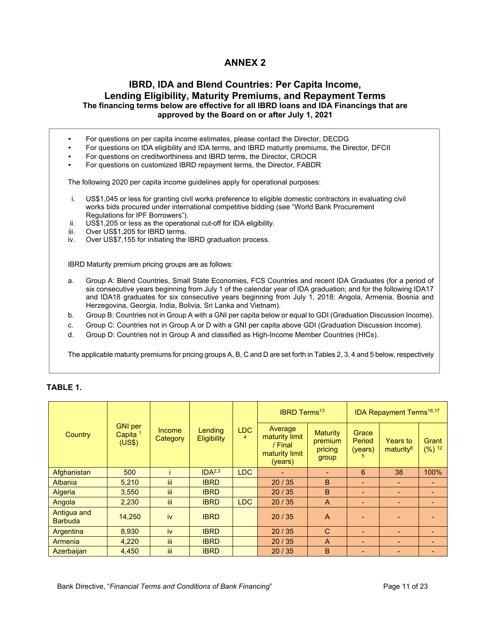#### **IBRD, IDA and Blend Countries: Per Capita Income, Lending Eligibility, Maturity Premiums, and Repayment Terms The financing terms below are effective for all IBRD loans and IDA Financings that are approved by the Board on or after July 1, 2021**

• For questions on per capita income estimates, please contact the Director, DECDG

- For questions on IDA eligibility and IDA terms, and IBRD maturity premiums, the Director, DFCII
- For questions on creditworthiness and IBRD terms, the Director, CROCR
- For questions on customized IBRD repayment terms, the Director, FABDR

The following 2020 per capita income guidelines apply for operational purposes:

- i. US\$1,045 or less for granting civil works preference to eligible domestic contractors in evaluating civil works bids procured under international competitive bidding (see "World Bank Procurement Regulations for IPF Borrowers").
- ii. US\$1,205 or less as the operational cut-off for IDA eligibility.
- iii. Over US\$1,205 for IBRD terms.<br>iv. Over US\$7.155 for initiating the
- Over US\$7,155 for initiating the IBRD graduation process.

IBRD Maturity premium pricing groups are as follows:

- a. Group A: Blend Countries, Small State Economies, FCS Countries and recent IDA Graduates (for a period of six consecutive years beginning from July 1 of the calendar year of IDA graduation; and for the following IDA17 and IDA18 graduates for six consecutive years beginning from July 1, 2018: Angola, Armenia, Bosnia and Herzegovina, Georgia, India, Bolivia, Sri Lanka and Vietnam).
- b. Group B: Countries not in Group A with a GNI per capita below or equal to GDI (Graduation Discussion Income).
- c. Group C: Countries not in Group A or D with a GNI per capita above GDI (Graduation Discussion Income).
- d. Group D: Countries not in Group A and classified as High-Income Member Countries (HICs).

The applicable maturity premiums for pricing groups A, B, C and D are set forth in Tables 2, 3, 4 and 5 below, respectively

|                               |                                        |                    |                               |                        | <b>IBRD Terms<sup>13</sup></b>                                    |                                                |                                 | <b>IDA Repayment Terms<sup>16,17</sup></b> |                            |
|-------------------------------|----------------------------------------|--------------------|-------------------------------|------------------------|-------------------------------------------------------------------|------------------------------------------------|---------------------------------|--------------------------------------------|----------------------------|
| Country                       | <b>GNI</b> per<br>Capita $1$<br>(US\$) | Income<br>Category | Lending<br><b>Eligibility</b> | LDC.<br>$\overline{4}$ | Average<br>maturity limit<br>/ Final<br>maturity limit<br>(years) | <b>Maturity</b><br>premium<br>pricing<br>group | Grace<br>Period<br>(years)<br>h | <b>Years to</b><br>maturity <sup>6</sup>   | Grant<br>(%) <sup>12</sup> |
| Afghanistan                   | 500                                    |                    | IDA <sup>2,3</sup>            | LDC                    |                                                                   | $\overline{\phantom{a}}$                       | 6                               | 38                                         | 100%                       |
| <b>Albania</b>                | 5,210                                  | iii.               | <b>IBRD</b>                   |                        | 20/35                                                             | B                                              | ۰                               |                                            |                            |
| Algeria                       | 3,550                                  | ΪİΙ                | <b>IBRD</b>                   |                        | 20/35                                                             | B                                              | ٠                               | $\overline{\phantom{a}}$                   | $\blacksquare$             |
| Angola                        | 2,230                                  | iii.               | <b>IBRD</b>                   | <b>LDC</b>             | 20/35                                                             | $\mathsf{A}$                                   | $\overline{\phantom{a}}$        | $\overline{\phantom{a}}$                   |                            |
| Antigua and<br><b>Barbuda</b> | 14,250                                 | iv                 | <b>IBRD</b>                   |                        | 20/35                                                             | A                                              |                                 |                                            |                            |
| Argentina                     | 8,930                                  | iv                 | <b>IBRD</b>                   |                        | 20/35                                                             | $\mathsf{C}$                                   | ٠                               | $\overline{\phantom{a}}$                   | $\blacksquare$             |
| Armenia                       | 4,220                                  | iii.               | <b>IBRD</b>                   |                        | 20/35                                                             | A                                              |                                 | $\overline{\phantom{a}}$                   |                            |
| Azerbaijan                    | 4.450                                  | iii                | <b>IBRD</b>                   |                        | 20/35                                                             | B                                              |                                 |                                            |                            |

#### **TABLE 1.**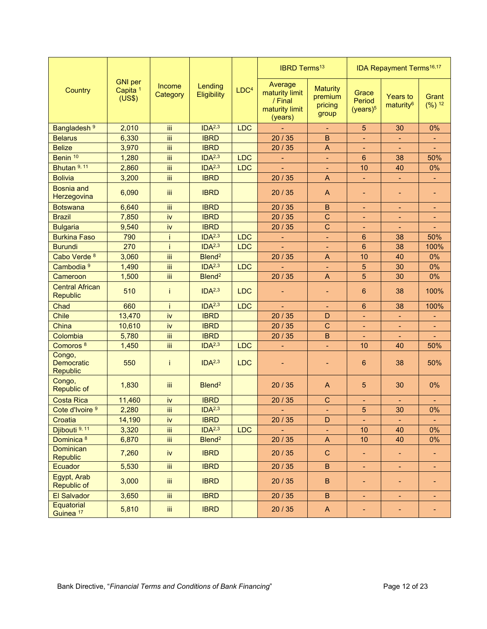|                                                |                                                 |                    |                        |                  | <b>IBRD Terms<sup>13</sup></b>                                    |                                                |                                         | <b>IDA Repayment Terms<sup>16,17</sup></b> |                            |
|------------------------------------------------|-------------------------------------------------|--------------------|------------------------|------------------|-------------------------------------------------------------------|------------------------------------------------|-----------------------------------------|--------------------------------------------|----------------------------|
| <b>Country</b>                                 | <b>GNI</b> per<br>Capita <sup>1</sup><br>(US\$) | Income<br>Category | Lending<br>Eligibility | LDC <sup>4</sup> | Average<br>maturity limit<br>/ Final<br>maturity limit<br>(years) | <b>Maturity</b><br>premium<br>pricing<br>group | Grace<br>Period<br>(years) <sup>5</sup> | <b>Years to</b><br>maturity <sup>6</sup>   | Grant<br>(%) <sup>12</sup> |
| Bangladesh <sup>9</sup>                        | 2,010                                           | iii                | IDA <sup>2,3</sup>     | <b>LDC</b>       |                                                                   |                                                | $\overline{5}$                          | 30                                         | 0%                         |
| <b>Belarus</b>                                 | 6,330                                           | Ϊij                | <b>IBRD</b>            |                  | 20/35                                                             | $\mathsf B$                                    | ÷                                       | $\blacksquare$                             |                            |
| <b>Belize</b>                                  | 3,970                                           | Ϊij                | <b>IBRD</b>            |                  | 20/35                                                             | A                                              | ۰                                       | $\blacksquare$                             |                            |
| Benin <sup>10</sup>                            | 1,280                                           | iii                | IDA <sup>2,3</sup>     | <b>LDC</b>       | ÷,                                                                | $\blacksquare$                                 | 6                                       | 38                                         | 50%                        |
| Bhutan <sup>9, 11</sup>                        | 2,860                                           | iii                | IDA <sup>2,3</sup>     | <b>LDC</b>       |                                                                   | ٠                                              | 10                                      | 40                                         | 0%                         |
| <b>Bolivia</b>                                 | 3,200                                           | Ϊij                | <b>IBRD</b>            |                  | 20 / 35                                                           | A                                              | ÷,                                      | $\blacksquare$                             |                            |
| <b>Bosnia and</b><br>Herzegovina               | 6,090                                           | iii                | <b>IBRD</b>            |                  | 20/35                                                             | A                                              | $\blacksquare$                          | $\overline{\phantom{a}}$                   | $\overline{\phantom{a}}$   |
| <b>Botswana</b>                                | 6,640                                           | iii                | <b>IBRD</b>            |                  | 20/35                                                             | $\mathsf B$                                    | $\overline{\phantom{0}}$                |                                            |                            |
| <b>Brazil</b>                                  | 7,850                                           | iv                 | <b>IBRD</b>            |                  | 20/35                                                             | $\mathsf{C}$                                   | $\blacksquare$                          | $\blacksquare$                             |                            |
| <b>Bulgaria</b>                                | 9,540                                           | iv                 | <b>IBRD</b>            |                  | 20/35                                                             | $\mathsf{C}$                                   | $\overline{\phantom{0}}$                | $\overline{\phantom{0}}$                   |                            |
| <b>Burkina Faso</b>                            | 790                                             | Ť                  | IDA <sup>2,3</sup>     | <b>LDC</b>       | ÷                                                                 | ÷                                              | 6                                       | 38                                         | 50%                        |
| <b>Burundi</b>                                 | 270                                             | j.                 | IDA <sup>2,3</sup>     | <b>LDC</b>       |                                                                   |                                                | $6\phantom{1}$                          | 38                                         | 100%                       |
| Cabo Verde 8                                   | 3,060                                           | Ϊij                | Blend <sup>2</sup>     |                  | 20 / 35                                                           | $\mathsf A$                                    | 10                                      | 40                                         | 0%                         |
| Cambodia <sup>9</sup>                          | 1,490                                           | Ϊij                | IDA <sup>2,3</sup>     | <b>LDC</b>       |                                                                   | ÷                                              | $\overline{5}$                          | 30                                         | 0%                         |
| Cameroon                                       | 1,500                                           | Ϊij                | Blend <sup>2</sup>     |                  | 20/35                                                             | $\mathsf{A}$                                   | 5                                       | 30                                         | 0%                         |
| <b>Central African</b><br><b>Republic</b>      | 510                                             | Ť                  | IDA <sup>2,3</sup>     | <b>LDC</b>       |                                                                   | ۰                                              | 6                                       | 38                                         | 100%                       |
| Chad                                           | 660                                             | Ť                  | IDA <sup>2,3</sup>     | <b>LDC</b>       | ÷                                                                 | $\blacksquare$                                 | $6\phantom{1}6$                         | 38                                         | 100%                       |
| Chile                                          | 13,470                                          | iv                 | <b>IBRD</b>            |                  | 20/35                                                             | D                                              | ä,                                      | $\blacksquare$                             |                            |
| China                                          | 10,610                                          | İV                 | <b>IBRD</b>            |                  | 20/35                                                             | $\mathsf{C}$                                   | ÷,                                      | $\blacksquare$                             |                            |
| Colombia                                       | 5,780                                           | iii                | <b>IBRD</b>            |                  | 20/35                                                             | B                                              |                                         |                                            |                            |
| Comoros <sup>8</sup>                           | 1,450                                           | iii                | IDA <sup>2,3</sup>     | <b>LDC</b>       | ÷,                                                                | ä,                                             | 10                                      | 40                                         | 50%                        |
| Congo,<br><b>Democratic</b><br><b>Republic</b> | 550                                             | Ť                  | IDA <sup>2,3</sup>     | <b>LDC</b>       |                                                                   |                                                | $6\phantom{1}6$                         | 38                                         | 50%                        |
| Congo,<br><b>Republic of</b>                   | 1,830                                           | iii                | Blend <sup>2</sup>     |                  | 20/35                                                             | A                                              | $\overline{5}$                          | 30                                         | 0%                         |
| <b>Costa Rica</b>                              | 11,460                                          | iv                 | <b>IBRD</b>            |                  | 20/35                                                             | $\mathsf C$                                    | ۰                                       | ÷                                          |                            |
| Cote d'Ivoire <sup>9</sup>                     | 2,280                                           | Ϊij                | IDA <sup>2,3</sup>     |                  |                                                                   |                                                | 5                                       | 30                                         | 0%                         |
| Croatia                                        | 14,190                                          | iv                 | <b>IBRD</b>            |                  | 20/35                                                             | D                                              | $\blacksquare$                          | $\blacksquare$                             | $\blacksquare$             |
| Djibouti <sup>9, 11</sup>                      | 3,320                                           | iii.               | IDA <sup>2,3</sup>     | <b>LDC</b>       |                                                                   | ÷                                              | 10                                      | 40                                         | 0%                         |
| Dominica <sup>8</sup>                          | 6,870                                           | iii.               | Blend <sup>2</sup>     |                  | 20 / 35                                                           | A                                              | 10                                      | 40                                         | 0%                         |
| <b>Dominican</b><br><b>Republic</b>            | 7,260                                           | iv                 | <b>IBRD</b>            |                  | 20/35                                                             | $\mathbf C$                                    | ٠                                       | $\blacksquare$                             | ٠                          |
| Ecuador                                        | 5,530                                           | iii.               | <b>IBRD</b>            |                  | 20 / 35                                                           | B                                              | ÷                                       | $\blacksquare$                             | ÷                          |
| Egypt, Arab<br><b>Republic of</b>              | 3,000                                           | iii.               | <b>IBRD</b>            |                  | 20/35                                                             | B                                              | -                                       | ٠                                          |                            |
| <b>El Salvador</b>                             | 3,650                                           | iii.               | <b>IBRD</b>            |                  | 20/35                                                             | $\, {\bf B} \,$                                | $\blacksquare$                          | $\blacksquare$                             | $\blacksquare$             |
| Equatorial<br>Guinea <sup>17</sup>             | 5,810                                           | Ш                  | <b>IBRD</b>            |                  | 20/35                                                             | $\mathsf{A}$                                   | -                                       | $\blacksquare$                             | ٠                          |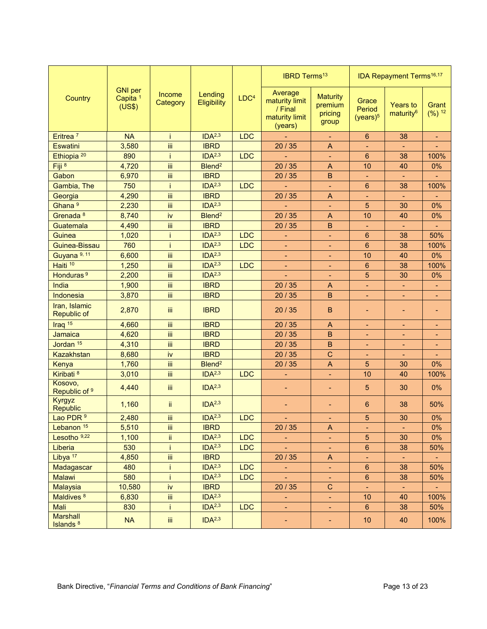|                                         |                                                 |                    |                        |                  | <b>IBRD Terms<sup>13</sup></b>                                    |                                                |                                         | <b>IDA Repayment Terms<sup>16,17</sup></b> |                            |
|-----------------------------------------|-------------------------------------------------|--------------------|------------------------|------------------|-------------------------------------------------------------------|------------------------------------------------|-----------------------------------------|--------------------------------------------|----------------------------|
| Country                                 | <b>GNI</b> per<br>Capita <sup>1</sup><br>(US\$) | Income<br>Category | Lending<br>Eligibility | LDC <sup>4</sup> | Average<br>maturity limit<br>/ Final<br>maturity limit<br>(years) | <b>Maturity</b><br>premium<br>pricing<br>group | Grace<br>Period<br>(years) <sup>5</sup> | <b>Years to</b><br>maturity <sup>6</sup>   | Grant<br>(%) <sup>12</sup> |
| Eritrea <sup>7</sup>                    | <b>NA</b>                                       | j.                 | IDA <sup>2,3</sup>     | <b>LDC</b>       |                                                                   | $\blacksquare$                                 | 6                                       | 38                                         |                            |
| Eswatini                                | 3,580                                           | iii                | <b>IBRD</b>            |                  | 20 / 35                                                           | A                                              | $\blacksquare$                          |                                            |                            |
| Ethiopia <sup>20</sup>                  | 890                                             | Ť                  | IDA <sup>2,3</sup>     | LDC              |                                                                   | ٠                                              | $6\phantom{1}6$                         | 38                                         | 100%                       |
| Fiji <sup>8</sup>                       | 4,720                                           | Ϊij                | Blend <sup>2</sup>     |                  | 20/35                                                             | A                                              | 10                                      | 40                                         | 0%                         |
| Gabon                                   | 6,970                                           | iii                | <b>IBRD</b>            |                  | 20/35                                                             | В                                              | $\blacksquare$                          |                                            |                            |
| Gambia, The                             | 750                                             | Ť                  | IDA <sup>2,3</sup>     | <b>LDC</b>       |                                                                   | ÷                                              | 6                                       | 38                                         | 100%                       |
| Georgia                                 | 4,290                                           | iii                | <b>IBRD</b>            |                  | 20/35                                                             | A                                              | $\blacksquare$                          | $\blacksquare$                             |                            |
| Ghana <sup>9</sup>                      | 2,230                                           | iii                | IDA <sup>2,3</sup>     |                  |                                                                   | $\blacksquare$                                 | 5                                       | 30                                         | 0%                         |
| Grenada <sup>8</sup>                    | 8,740                                           | iv                 | Blend <sup>2</sup>     |                  | 20/35                                                             | A                                              | 10                                      | 40                                         | 0%                         |
| Guatemala                               | 4,490                                           | iii                | <b>IBRD</b>            |                  | 20/35                                                             | B                                              | $\blacksquare$                          |                                            | ÷,                         |
| Guinea                                  | 1,020                                           | j                  | IDA <sup>2,3</sup>     | <b>LDC</b>       |                                                                   | $\blacksquare$                                 | 6                                       | 38                                         | 50%                        |
| Guinea-Bissau                           | 760                                             | İ                  | IDA <sup>2,3</sup>     | <b>LDC</b>       |                                                                   | $\blacksquare$                                 | $6\phantom{1}6$                         | 38                                         | 100%                       |
| Guyana <sup>9, 11</sup>                 | 6,600                                           | Ϊij                | IDA <sup>2,3</sup>     |                  | $\qquad \qquad \blacksquare$                                      | $\blacksquare$                                 | 10                                      | 40                                         | 0%                         |
| Haiti <sup>10</sup>                     | 1,250                                           | iii                | IDA <sup>2,3</sup>     | <b>LDC</b>       | ٠                                                                 | ٠                                              | 6                                       | 38                                         | 100%                       |
| Honduras <sup>9</sup>                   | 2,200                                           | iii                | IDA <sup>2,3</sup>     |                  |                                                                   | -                                              | 5                                       | 30                                         | 0%                         |
| India                                   | 1,900                                           | iii                | <b>IBRD</b>            |                  | 20 / 35                                                           | A                                              | $\blacksquare$                          |                                            | ۰                          |
| <b>Indonesia</b>                        | 3,870                                           | iii                | <b>IBRD</b>            |                  | 20/35                                                             | $\mathsf B$                                    | ÷                                       |                                            | ۰                          |
| Iran, Islamic<br><b>Republic of</b>     | 2,870                                           | Ϊiί                | <b>IBRD</b>            |                  | 20/35                                                             | $\sf B$                                        | $\blacksquare$                          | ٠                                          | ۰                          |
| Iraq $15$                               | 4,660                                           | iii                | <b>IBRD</b>            |                  | 20/35                                                             | A                                              | $\blacksquare$                          | ٠                                          | ٠                          |
| Jamaica                                 | 4,620                                           | iii                | <b>IBRD</b>            |                  | 20/35                                                             | $\mathsf B$                                    | $\blacksquare$                          | ٠                                          | ۰                          |
| Jordan <sup>15</sup>                    | 4,310                                           | iii                | <b>IBRD</b>            |                  | 20/35                                                             | B                                              | $\blacksquare$                          |                                            |                            |
| Kazakhstan                              | 8,680                                           | iv                 | <b>IBRD</b>            |                  | 20 / 35                                                           | $\mathsf{C}$                                   | $\blacksquare$                          |                                            |                            |
| Kenya                                   | 1,760                                           | Ϊij                | Blend <sup>2</sup>     |                  | 20/35                                                             | $\boldsymbol{\mathsf{A}}$                      | 5                                       | 30                                         | 0%                         |
| Kiribati <sup>8</sup>                   | 3,010                                           | Ϊİ                 | IDA <sup>2,3</sup>     | <b>LDC</b>       |                                                                   | $\blacksquare$                                 | 10                                      | 40                                         | 100%                       |
| Kosovo,<br>Republic of 9                | 4,440                                           | iii                | IDA <sup>2,3</sup>     |                  | ٠                                                                 | $\blacksquare$                                 | 5                                       | 30                                         | 0%                         |
| Kyrgyz<br><b>Republic</b>               | 1,160                                           | ii.                | IDA <sup>2,3</sup>     |                  | -                                                                 | $\overline{\phantom{0}}$                       | $6\phantom{1}6$                         | 38                                         | 50%                        |
| Lao PDR 9                               | 2,480                                           | Ϊij                | IDA <sup>2,3</sup>     | <b>LDC</b>       |                                                                   |                                                | 5                                       | 30                                         | 0%                         |
| Lebanon <sup>15</sup>                   | 5,510                                           | Ϊij                | <b>IBRD</b>            |                  | 20 / 35                                                           | A                                              | ٠                                       | $\blacksquare$                             | 0%                         |
| Lesotho <sup>9,22</sup>                 | 1,100                                           | ij.                | IDA <sup>2,3</sup>     | <b>LDC</b>       | ۳                                                                 | ۳                                              | 5                                       | 30                                         | $0\%$                      |
| Liberia                                 | 530                                             | Ť                  | IDA <sup>2,3</sup>     | <b>LDC</b>       |                                                                   | ÷                                              | $\,6\,$                                 | 38                                         | 50%                        |
| Libya <sup>17</sup>                     | 4,850                                           | Ϊİ                 | <b>IBRD</b>            |                  | 20 / 35                                                           | A                                              | $\blacksquare$                          |                                            |                            |
| Madagascar                              | 480                                             | Ť                  | IDA <sup>2,3</sup>     | <b>LDC</b>       | $\omega_{\rm c}$                                                  | $\blacksquare$                                 | $\boldsymbol{6}$                        | 38                                         | 50%                        |
| Malawi                                  | 580                                             | İ.                 | IDA <sup>2,3</sup>     | <b>LDC</b>       | ÷.                                                                | $\blacksquare$                                 | $\boldsymbol{6}$                        | 38                                         | 50%                        |
| <b>Malaysia</b>                         | 10,580                                          | İV                 | <b>IBRD</b>            |                  | 20/35                                                             | $\mathbf C$                                    | ÷                                       | $\blacksquare$                             |                            |
| Maldives <sup>8</sup>                   | 6,830                                           | iii                | IDA <sup>2,3</sup>     |                  | ÷,                                                                | $\blacksquare$                                 | 10                                      | 40                                         | 100%                       |
| Mali                                    | 830                                             | Î.                 | IDA <sup>2,3</sup>     | <b>LDC</b>       | ÷                                                                 | ÷                                              | $6\phantom{a}$                          | 38                                         | 50%                        |
| <b>Marshall</b><br>Islands <sup>8</sup> | <b>NA</b>                                       | Ϊij                | IDA <sup>2,3</sup>     |                  | ۳                                                                 | ٠                                              | 10                                      | 40                                         | 100%                       |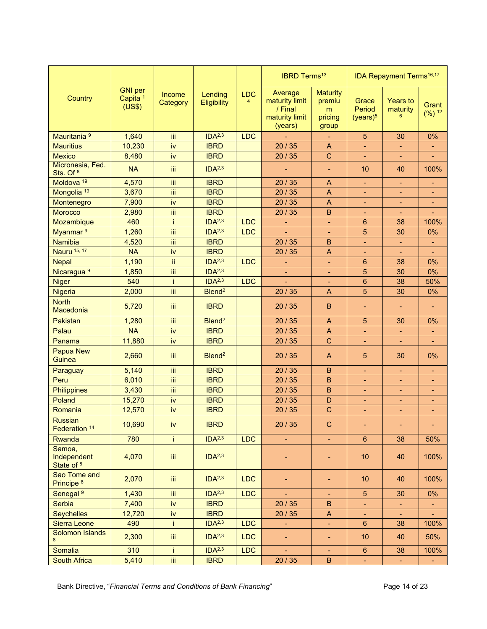|                                       |                                                 |                    |                        |                              | <b>IBRD Terms<sup>13</sup></b>                                    |                                                    |                                         | <b>IDA Repayment Terms<sup>16,17</sup></b> |                   |
|---------------------------------------|-------------------------------------------------|--------------------|------------------------|------------------------------|-------------------------------------------------------------------|----------------------------------------------------|-----------------------------------------|--------------------------------------------|-------------------|
| Country                               | <b>GNI</b> per<br>Capita <sup>1</sup><br>(US\$) | Income<br>Category | Lending<br>Eligibility | <b>LDC</b><br>$\overline{4}$ | Average<br>maturity limit<br>/ Final<br>maturity limit<br>(years) | <b>Maturity</b><br>premiu<br>m<br>pricing<br>group | Grace<br>Period<br>(years) <sup>5</sup> | <b>Years to</b><br>maturity                | Grant<br>$(%)^12$ |
| Mauritania <sup>9</sup>               | 1,640                                           | iii                | IDA <sup>2,3</sup>     | <b>LDC</b>                   |                                                                   |                                                    | $\overline{5}$                          | 30                                         | 0%                |
| <b>Mauritius</b>                      | 10,230                                          | iv                 | <b>IBRD</b>            |                              | 20/35                                                             | $\overline{A}$                                     | ÷,                                      |                                            |                   |
| <b>Mexico</b>                         | 8,480                                           | iv                 | <b>IBRD</b>            |                              | 20/35                                                             | $\mathsf{C}$                                       |                                         |                                            |                   |
| Micronesia, Fed.<br>Sts. Of 8         | <b>NA</b>                                       | iii.               | IDA <sup>2,3</sup>     |                              |                                                                   | ÷,                                                 | 10                                      | 40                                         | 100%              |
| Moldova <sup>19</sup>                 | 4,570                                           | Ϊİ                 | <b>IBRD</b>            |                              | 20/35                                                             | A                                                  | $\blacksquare$                          | $\blacksquare$                             | $\blacksquare$    |
| Mongolia <sup>19</sup>                | 3,670                                           | Ϊij                | <b>IBRD</b>            |                              | 20/35                                                             | A                                                  | ÷,                                      |                                            |                   |
| Montenegro                            | 7,900                                           | iv                 | <b>IBRD</b>            |                              | 20/35                                                             | $\overline{A}$                                     | -                                       |                                            |                   |
| Morocco                               | 2,980                                           | Ϊij                | <b>IBRD</b>            |                              | 20/35                                                             | B                                                  | ٠                                       |                                            |                   |
| Mozambique                            | 460                                             | j.                 | IDA <sup>2,3</sup>     | <b>LDC</b>                   | ٠                                                                 | ٠                                                  | 6                                       | 38                                         | 100%              |
| Myanmar <sup>9</sup>                  | 1,260                                           | Ϊİ                 | IDA <sup>2,3</sup>     | <b>LDC</b>                   |                                                                   | ÷,                                                 | 5                                       | 30                                         | 0%                |
| <b>Namibia</b>                        | 4,520                                           | Ϊİ                 | <b>IBRD</b>            |                              | 20/35                                                             | B                                                  | $\blacksquare$                          |                                            | $\blacksquare$    |
| Nauru 15, 17                          | <b>NA</b>                                       | iv                 | <b>IBRD</b>            |                              | 20/35                                                             | A                                                  | ٠                                       |                                            |                   |
| <b>Nepal</b>                          | 1,190                                           | ii                 | IDA <sup>2,3</sup>     | <b>LDC</b>                   | ÷                                                                 | ÷                                                  | 6                                       | 38                                         | 0%                |
| Nicaragua <sup>9</sup>                | 1,850                                           | Ϊİ                 | IDA <sup>2,3</sup>     |                              | ٠                                                                 | ٠                                                  | 5                                       | 30                                         | 0%                |
| <b>Niger</b>                          | 540                                             | Ť                  | IDA <sup>2,3</sup>     | <b>LDC</b>                   | ÷,                                                                | $\blacksquare$                                     | $6\phantom{1}$                          | 38                                         | 50%               |
| <b>Nigeria</b>                        | 2,000                                           | iii                | Blend <sup>2</sup>     |                              | 20/35                                                             | A                                                  | 5                                       | 30                                         | 0%                |
| <b>North</b><br>Macedonia             | 5,720                                           | Ϊij                | <b>IBRD</b>            |                              | 20/35                                                             | B                                                  | ٠                                       |                                            |                   |
| Pakistan                              | 1,280                                           | iii                | Blend <sup>2</sup>     |                              | 20/35                                                             | A                                                  | 5                                       | 30                                         | 0%                |
| Palau                                 | <b>NA</b>                                       | İV                 | <b>IBRD</b>            |                              | 20/35                                                             | $\overline{A}$                                     | ÷,                                      |                                            |                   |
| Panama                                | 11,880                                          | İV                 | <b>IBRD</b>            |                              | 20/35                                                             | $\mathsf{C}$                                       | ä,                                      |                                            |                   |
| <b>Papua New</b><br>Guinea            | 2,660                                           | iii.               | Blend <sup>2</sup>     |                              | 20/35                                                             | A                                                  | 5                                       | 30                                         | 0%                |
| Paraguay                              | 5,140                                           | iii                | <b>IBRD</b>            |                              | 20/35                                                             | B                                                  | ٠                                       | $\blacksquare$                             |                   |
| Peru                                  | 6,010                                           | Ϊİ                 | <b>IBRD</b>            |                              | 20/35                                                             | $\sf B$                                            | ٠                                       | $\qquad \qquad \blacksquare$               | ٠                 |
| <b>Philippines</b>                    | 3,430                                           | Ϊİ                 | <b>IBRD</b>            |                              | 20/35                                                             | $\mathsf B$                                        | ۰                                       | ۰                                          | ۰                 |
| Poland                                | 15,270                                          | iv                 | <b>IBRD</b>            |                              | 20/35                                                             | D                                                  | ٠                                       | ۰                                          | ٠                 |
| Romania                               | 12,570                                          | iv                 | <b>IBRD</b>            |                              | 20/35                                                             | $\mathsf{C}$                                       | ÷                                       | $\blacksquare$                             | ٠                 |
| <b>Russian</b><br>Federation 14       | 10,690                                          | iv                 | <b>IBRD</b>            |                              | 20/35                                                             | $\mathsf{C}$                                       | $\blacksquare$                          |                                            | ٠                 |
| Rwanda                                | 780                                             | i.                 | IDA <sup>2,3</sup>     | <b>LDC</b>                   | ÷,                                                                | $\blacksquare$                                     | $6\phantom{a}$                          | 38                                         | 50%               |
| Samoa,<br>Independent<br>State of 8   | 4,070                                           | Ϊij                | IDA <sup>2,3</sup>     |                              |                                                                   |                                                    | 10                                      | 40                                         | 100%              |
| Sao Tome and<br>Principe <sup>8</sup> | 2,070                                           | ΪÏ                 | IDA <sup>2,3</sup>     | <b>LDC</b>                   |                                                                   |                                                    | 10                                      | 40                                         | 100%              |
| Senegal <sup>9</sup>                  | 1,430                                           | iii                | IDA <sup>2,3</sup>     | <b>LDC</b>                   |                                                                   |                                                    | $5\phantom{.}$                          | 30                                         | 0%                |
| <b>Serbia</b>                         | 7,400                                           | iv                 | <b>IBRD</b>            |                              | 20/35                                                             | $\sf{B}$                                           | ÷                                       |                                            |                   |
| <b>Seychelles</b>                     | 12,720                                          | İV                 | <b>IBRD</b>            |                              | 20 / 35                                                           | A                                                  | ٠                                       |                                            |                   |
| Sierra Leone                          | 490                                             | Ť                  | IDA <sup>2,3</sup>     | <b>LDC</b>                   | ÷                                                                 | $\blacksquare$                                     | $6\phantom{.}$                          | 38                                         | 100%              |
| <b>Solomon Islands</b><br>8           | 2,300                                           | iii                | IDA <sup>2,3</sup>     | <b>LDC</b>                   | ÷                                                                 | ٠                                                  | 10                                      | 40                                         | 50%               |
| Somalia                               | 310                                             | Ť.                 | IDA <sup>2,3</sup>     | <b>LDC</b>                   |                                                                   |                                                    | $6\phantom{a}$                          | 38                                         | 100%              |
| <b>South Africa</b>                   | 5,410                                           | Ϊİ                 | <b>IBRD</b>            |                              | 20/35                                                             | $\sf B$                                            |                                         |                                            |                   |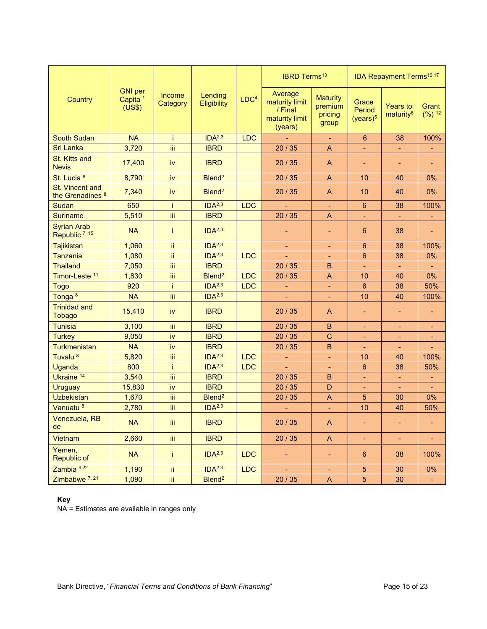|                                                |                                                 |                    |                               |                  | <b>IBRD Terms<sup>13</sup></b>                                    |                                                |                                         | <b>IDA Repayment Terms<sup>16,17</sup></b> |                            |
|------------------------------------------------|-------------------------------------------------|--------------------|-------------------------------|------------------|-------------------------------------------------------------------|------------------------------------------------|-----------------------------------------|--------------------------------------------|----------------------------|
| Country                                        | <b>GNI</b> per<br>Capita <sup>1</sup><br>(US\$) | Income<br>Category | Lending<br><b>Eligibility</b> | LDC <sup>4</sup> | Average<br>maturity limit<br>/ Final<br>maturity limit<br>(years) | <b>Maturity</b><br>premium<br>pricing<br>group | Grace<br>Period<br>(years) <sup>5</sup> | <b>Years to</b><br>maturity <sup>6</sup>   | Grant<br>(%) <sup>12</sup> |
| <b>South Sudan</b>                             | <b>NA</b>                                       | İ                  | IDA <sup>2,3</sup>            | <b>LDC</b>       |                                                                   | ۳                                              | 6                                       | 38                                         | 100%                       |
| <b>Sri Lanka</b>                               | 3,720                                           | iii                | <b>IBRD</b>                   |                  | 20/35                                                             | $\mathsf{A}$                                   | ÷                                       | $\blacksquare$                             | $\blacksquare$             |
| St. Kitts and<br><b>Nevis</b>                  | 17,400                                          | iv                 | <b>IBRD</b>                   |                  | 20/35                                                             | A                                              | ÷                                       | $\overline{\phantom{0}}$                   |                            |
| St. Lucia 8                                    | 8,790                                           | iv                 | Blend <sup>2</sup>            |                  | 20/35                                                             | $\mathsf{A}$                                   | 10                                      | 40                                         | 0%                         |
| St. Vincent and<br>the Grenadines <sup>8</sup> | 7,340                                           | iv                 | Blend <sup>2</sup>            |                  | 20/35                                                             | $\overline{A}$                                 | 10                                      | 40                                         | 0%                         |
| Sudan                                          | 650                                             | Ť                  | IDA <sup>2,3</sup>            | <b>LDC</b>       |                                                                   | $\blacksquare$                                 | $6\phantom{a}$                          | 38                                         | 100%                       |
| <b>Suriname</b>                                | 5,510                                           | iii                | <b>IBRD</b>                   |                  | 20/35                                                             | $\overline{A}$                                 | ÷,                                      | $\blacksquare$                             | $\blacksquare$             |
| <b>Syrian Arab</b><br>Republic 7, 15           | <b>NA</b>                                       | Ť                  | IDA <sup>2,3</sup>            |                  |                                                                   | $\overline{\phantom{0}}$                       | 6                                       | 38                                         |                            |
| Tajikistan                                     | 1,060                                           | ii.                | IDA <sup>2,3</sup>            |                  |                                                                   | ٠                                              | $6\phantom{1}$                          | 38                                         | 100%                       |
| <b>Tanzania</b>                                | 1,080                                           | ii.                | IDA <sup>2,3</sup>            | <b>LDC</b>       |                                                                   |                                                | 6                                       | 38                                         | 0%                         |
| <b>Thailand</b>                                | 7,050                                           | ΪÏ                 | <b>IBRD</b>                   |                  | 20/35                                                             | B                                              | ÷,                                      |                                            |                            |
| Timor-Leste 11                                 | 1,830                                           | ΪÏ                 | Blend <sup>2</sup>            | <b>LDC</b>       | 20/35                                                             | $\mathsf{A}$                                   | 10                                      | 40                                         | 0%                         |
| <b>Togo</b>                                    | 920                                             | Ť                  | IDA <sup>2,3</sup>            | <b>LDC</b>       | ÷                                                                 | $\blacksquare$                                 | 6                                       | 38                                         | 50%                        |
| Tonga <sup>8</sup>                             | <b>NA</b>                                       | iii                | IDA <sup>2,3</sup>            |                  | ÷.                                                                | $\blacksquare$                                 | 10                                      | 40                                         | 100%                       |
| <b>Trinidad and</b><br><b>Tobago</b>           | 15,410                                          | iv                 | <b>IBRD</b>                   |                  | 20/35                                                             | A                                              | ÷                                       | $\blacksquare$                             |                            |
| <b>Tunisia</b>                                 | 3,100                                           | Ϊİ                 | <b>IBRD</b>                   |                  | 20/35                                                             | $\overline{B}$                                 | ۰                                       |                                            |                            |
| <b>Turkey</b>                                  | 9,050                                           | iv                 | <b>IBRD</b>                   |                  | 20/35                                                             | $\mathsf{C}$                                   |                                         | $\blacksquare$                             |                            |
| Turkmenistan                                   | <b>NA</b>                                       | iv                 | <b>IBRD</b>                   |                  | 20/35                                                             | $\mathbf B$                                    |                                         |                                            |                            |
| Tuvalu <sup>8</sup>                            | 5,820                                           | ΪÏ                 | IDA <sup>2,3</sup>            | <b>LDC</b>       |                                                                   | $\blacksquare$                                 | 10                                      | 40                                         | 100%                       |
| Uganda                                         | 800                                             | Ť                  | IDA <sup>2,3</sup>            | LDC              |                                                                   | ٠                                              | 6                                       | 38                                         | 50%                        |
| Ukraine 14                                     | 3,540                                           | iii                | <b>IBRD</b>                   |                  | 20/35                                                             | B.                                             | ÷                                       | $\blacksquare$                             | $\blacksquare$             |
| <b>Uruguay</b>                                 | 15,830                                          | iv                 | <b>IBRD</b>                   |                  | 20/35                                                             | D                                              | ÷                                       | $\blacksquare$                             | $\blacksquare$             |
| <b>Uzbekistan</b>                              | 1,670                                           | ΪÏ                 | Blend <sup>2</sup>            |                  | 20/35                                                             | $\mathsf{A}$                                   | $\overline{5}$                          | 30                                         | 0%                         |
| Vanuatu <sup>8</sup>                           | 2,780                                           | Ϊiί                | IDA <sup>2,3</sup>            |                  |                                                                   |                                                | 10                                      | 40                                         | 50%                        |
| Venezuela, RB<br>de                            | NA                                              | $\mathrm{iii}$     | <b>IBRD</b>                   |                  | 20 / 35                                                           | $\boldsymbol{\mathsf{A}}$                      |                                         |                                            |                            |
| Vietnam                                        | 2,660                                           | iii.               | <b>IBRD</b>                   |                  | 20/35                                                             | $\mathsf{A}$                                   | ÷                                       | ÷,                                         | $\blacksquare$             |
| Yemen,<br>Republic of                          | <b>NA</b>                                       | Ť.                 | IDA <sup>2,3</sup>            | LDC              |                                                                   |                                                | 6                                       | 38                                         | 100%                       |
| Zambia 9,22                                    | 1,190                                           | ij.                | IDA <sup>2,3</sup>            | <b>LDC</b>       |                                                                   |                                                | $\overline{5}$                          | 30                                         | $0\%$                      |
| Zimbabwe <sup>7,21</sup>                       | 1,090                                           | ii.                | Blend <sup>2</sup>            |                  | 20 / 35                                                           | $\mathsf{A}$                                   | 5 <sup>5</sup>                          | 30                                         | $\blacksquare$             |

#### **Key**

NA = Estimates are available in ranges only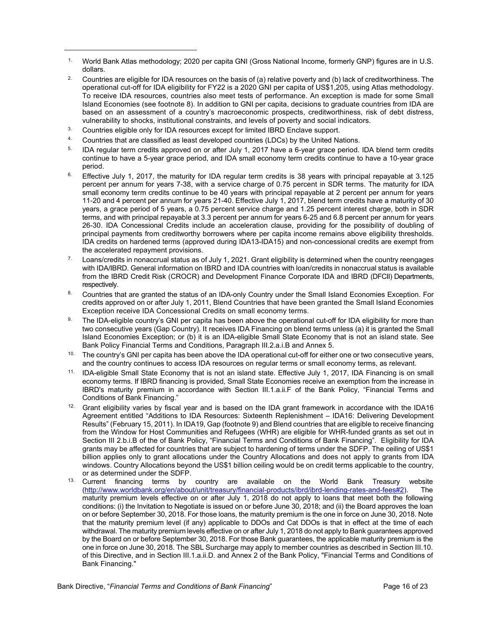- 1. World Bank Atlas methodology; 2020 per capita GNI (Gross National Income, formerly GNP) figures are in U.S. dollars.
- <sup>2.</sup> Countries are eligible for IDA resources on the basis of (a) relative poverty and (b) lack of creditworthiness. The operational cut-off for IDA eligibility for FY22 is a 2020 GNI per capita of US\$1,205, using Atlas methodology. To receive IDA resources, countries also meet tests of performance. An exception is made for some Small Island Economies (see footnote 8). In addition to GNI per capita, decisions to graduate countries from IDA are based on an assessment of a country's macroeconomic prospects, creditworthiness, risk of debt distress, vulnerability to shocks, institutional constraints, and levels of poverty and social indicators.
- <sup>3.</sup> Countries eligible only for IDA resources except for limited IBRD Enclave support.
- 4. Countries that are classified as least developed countries (LDCs) by the United Nations.
- <sup>5.</sup> IDA regular term credits approved on or after July 1, 2017 have a 6-year grace period. IDA blend term credits continue to have a 5-year grace period, and IDA small economy term credits continue to have a 10-year grace period.
- $6.$  Effective July 1, 2017, the maturity for IDA regular term credits is 38 years with principal repayable at 3.125 percent per annum for years 7-38, with a service charge of 0.75 percent in SDR terms. The maturity for IDA small economy term credits continue to be 40 years with principal repayable at 2 percent per annum for years 11-20 and 4 percent per annum for years 21-40. Effective July 1, 2017, blend term credits have a maturity of 30 years, a grace period of 5 years, a 0.75 percent service charge and 1.25 percent interest charge, both in SDR terms, and with principal repayable at 3.3 percent per annum for years 6-25 and 6.8 percent per annum for years 26-30. IDA Concessional Credits include an acceleration clause, providing for the possibility of doubling of principal payments from creditworthy borrowers where per capita income remains above eligibility thresholds. IDA credits on hardened terms (approved during IDA13-IDA15) and non-concessional credits are exempt from the accelerated repayment provisions.
- $7.$  Loans/credits in nonaccrual status as of July 1, 2021. Grant eligibility is determined when the country reengages with IDA/IBRD. General information on IBRD and IDA countries with loan/credits in nonaccrual status is available from the IBRD Credit Risk (CROCR) and Development Finance Corporate IDA and IBRD (DFCII) Departments, respectively.
- 8. Countries that are granted the status of an IDA-only Country under the Small Island Economies Exception. For credits approved on or after July 1, 2011, Blend Countries that have been granted the Small Island Economies Exception receive IDA Concessional Credits on small economy terms.
- 9. The IDA-eligible country's GNI per capita has been above the operational cut-off for IDA eligibility for more than two consecutive years (Gap Country). It receives IDA Financing on blend terms unless (a) it is granted the Small Island Economies Exception; or (b) it is an IDA-eligible Small State Economy that is not an island state. See Bank Policy Financial Terms and Conditions, Paragraph III.2.a.i.B and Annex 5.
- $10.$  The country's GNI per capita has been above the IDA operational cut-off for either one or two consecutive years, and the country continues to access IDA resources on regular terms or small economy terms, as relevant.
- 11. IDA-eligible Small State Economy that is not an island state. Effective July 1, 2017, IDA Financing is on small economy terms. If IBRD financing is provided, Small State Economies receive an exemption from the increase in IBRD's maturity premium in accordance with Section III.1.a.ii.F of the Bank Policy, "Financial Terms and Conditions of Bank Financing."
- <sup>12.</sup> Grant eligibility varies by fiscal year and is based on the IDA grant framework in accordance with the IDA16 Agreement entitled "Additions to IDA Resources: Sixteenth Replenishment – IDA16: Delivering Development Results" (February 15, 2011). In IDA19, Gap (footnote 9) and Blend countries that are eligible to receive financing from the Window for Host Communities and Refugees (WHR) are eligible for WHR-funded grants as set out in Section III 2.b.i.B of the of Bank Policy, "Financial Terms and Conditions of Bank Financing". Eligibility for IDA grants may be affected for countries that are subject to hardening of terms under the SDFP. The ceiling of US\$1 billion applies only to grant allocations under the Country Allocations and does not apply to grants from IDA windows. Country Allocations beyond the US\$1 billion ceiling would be on credit terms applicable to the country, or as determined under the SDFP.
- Current financing terms by country are available on the World Bank Treasury website [\(http://www.worldbank.org/en/about/unit/treasury/financial-products/ibrd/ibrd-lending-rates-and-fees#2](https://treasury.worldbank.org/en/about/unit/treasury/ibrd-financial-products/lending-rates-and-fees)). The maturity premium levels effective on or after July 1, 2018 do not apply to loans that meet both the following conditions: (i) the Invitation to Negotiate is issued on or before June 30, 2018; and (ii) the Board approves the loan on or before September 30, 2018. For those loans, the maturity premium is the one in force on June 30, 2018. Note that the maturity premium level (if any) applicable to DDOs and Cat DDOs is that in effect at the time of each withdrawal. The maturity premium levels effective on or after July 1, 2018 do not apply to Bank guarantees approved by the Board on or before September 30, 2018. For those Bank guarantees, the applicable maturity premium is the one in force on June 30, 2018. The SBL Surcharge may apply to member countries as described in Section III.10. of this Directive, and in Section III.1.a.ii.D. and Annex 2 of the Bank Policy, "Financial Terms and Conditions of Bank Financing."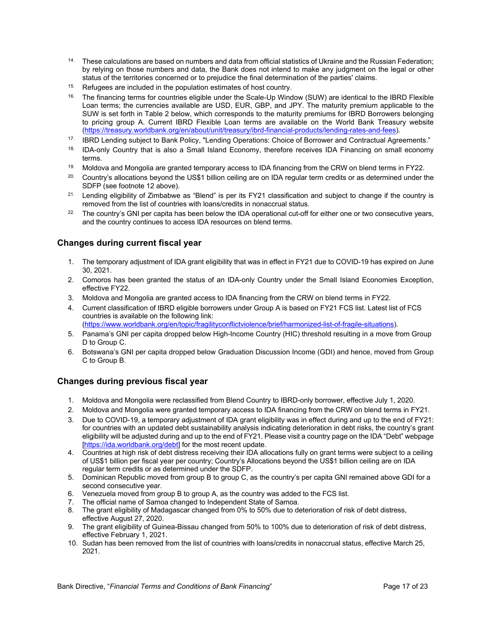- $14.$  These calculations are based on numbers and data from official statistics of Ukraine and the Russian Federation: by relying on those numbers and data, the Bank does not intend to make any judgment on the legal or other status of the territories concerned or to prejudice the final determination of the parties' claims.
- 15. Refugees are included in the population estimates of host country.
- <sup>16.</sup> The financing terms for countries eligible under the Scale-Up Window (SUW) are identical to the IBRD Flexible Loan terms; the currencies available are USD, EUR, GBP, and JPY. The maturity premium applicable to the SUW is set forth in Table 2 below, which corresponds to the maturity premiums for IBRD Borrowers belonging to pricing group A. Current IBRD Flexible Loan terms are available on the World Bank Treasury website [\(https://treasury.worldbank.org/en/about/unit/treasury/ibrd-financial-products/lending-rates-and-fees](https://treasury.worldbank.org/en/about/unit/treasury/ibrd-financial-products/lending-rates-and-fees)).
- 17. IBRD Lending subject to Bank Policy, "Lending Operations: Choice of Borrower and Contractual Agreements."
- <sup>18.</sup> IDA-only Country that is also a Small Island Economy, therefore receives IDA Financing on small economy terms.
- <sup>19.</sup> Moldova and Mongolia are granted temporary access to IDA financing from the CRW on blend terms in FY22.
- 20. Country's allocations beyond the US\$1 billion ceiling are on IDA regular term credits or as determined under the SDFP (see footnote 12 above).
- <sup>21.</sup> Lending eligibility of Zimbabwe as "Blend" is per its FY21 classification and subject to change if the country is removed from the list of countries with loans/credits in nonaccrual status.
- <sup>22.</sup> The country's GNI per capita has been below the IDA operational cut-off for either one or two consecutive years, and the country continues to access IDA resources on blend terms.

#### **Changes during current fiscal year**

- 1. The temporary adjustment of IDA grant eligibility that was in effect in FY21 due to COVID-19 has expired on June 30, 2021.
- 2. Comoros has been granted the status of an IDA-only Country under the Small Island Economies Exception, effective FY22.
- 3. Moldova and Mongolia are granted access to IDA financing from the CRW on blend terms in FY22.
- 4. Current classification of IBRD eligible borrowers under Group A is based on FY21 FCS list. Latest list of FCS countries is available on the following link:

[\(https://www.worldbank.org/en/topic/fragilityconflictviolence/brief/harmonized-list-of-fragile-situations](https://www.worldbank.org/en/topic/fragilityconflictviolence/brief/harmonized-list-of-fragile-situations)).

- 5. Panama's GNI per capita dropped below High-Income Country (HIC) threshold resulting in a move from Group D to Group C.
- 6. Botswana's GNI per capita dropped below Graduation Discussion Income (GDI) and hence, moved from Group C to Group B.

#### **Changes during previous fiscal year**

- 1. Moldova and Mongolia were reclassified from Blend Country to IBRD-only borrower, effective July 1, 2020.
- 2. Moldova and Mongolia were granted temporary access to IDA financing from the CRW on blend terms in FY21.
- 3. Due to COVID-19, a temporary adjustment of IDA grant eligibility was in effect during and up to the end of FY21: for countries with an updated debt sustainability analysis indicating deterioration in debt risks, the country's grant eligibility will be adjusted during and up to the end of FY21. Please visit a country page on the IDA "Debt" webpage [\[https://ida.worldbank.org/debt](https://ida.worldbank.org/debt)] for the most recent update.
- 4. Countries at high risk of debt distress receiving their IDA allocations fully on grant terms were subject to a ceiling of US\$1 billion per fiscal year per country; Country's Allocations beyond the US\$1 billion ceiling are on IDA regular term credits or as determined under the SDFP.
- 5. Dominican Republic moved from group B to group C, as the country's per capita GNI remained above GDI for a second consecutive year.
- 6. Venezuela moved from group B to group A, as the country was added to the FCS list.
- 7. The official name of Samoa changed to Independent State of Samoa.
- 8. The grant eligibility of Madagascar changed from 0% to 50% due to deterioration of risk of debt distress, effective August 27, 2020.
- 9. The grant eligibility of Guinea-Bissau changed from 50% to 100% due to deterioration of risk of debt distress, effective February 1, 2021.
- 10. Sudan has been removed from the list of countries with loans/credits in nonaccrual status, effective March 25, 2021.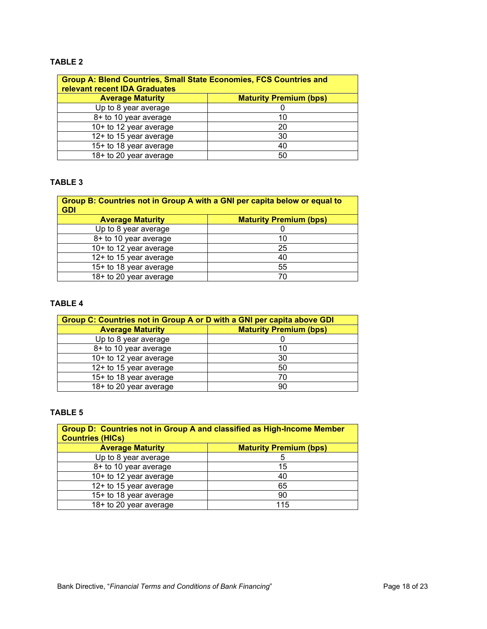#### **TABLE 2**

| <b>Group A: Blend Countries, Small State Economies, FCS Countries and</b><br><b>relevant recent IDA Graduates</b> |                               |  |  |  |  |
|-------------------------------------------------------------------------------------------------------------------|-------------------------------|--|--|--|--|
| <b>Average Maturity</b>                                                                                           | <b>Maturity Premium (bps)</b> |  |  |  |  |
| Up to 8 year average                                                                                              |                               |  |  |  |  |
| 8+ to 10 year average                                                                                             | 10                            |  |  |  |  |
| 10+ to 12 year average                                                                                            | 20                            |  |  |  |  |
| 12+ to 15 year average                                                                                            | 30                            |  |  |  |  |
| 15+ to 18 year average                                                                                            | 40                            |  |  |  |  |
| 18+ to 20 year average                                                                                            | 50                            |  |  |  |  |

#### **TABLE 3**

| Group B: Countries not in Group A with a GNI per capita below or equal to<br><b>GDI</b> |                               |  |  |  |  |  |
|-----------------------------------------------------------------------------------------|-------------------------------|--|--|--|--|--|
| <b>Average Maturity</b>                                                                 | <b>Maturity Premium (bps)</b> |  |  |  |  |  |
| Up to 8 year average                                                                    |                               |  |  |  |  |  |
| 8+ to 10 year average                                                                   | 10                            |  |  |  |  |  |
| 10+ to 12 year average                                                                  | 25                            |  |  |  |  |  |
| 12+ to 15 year average                                                                  | 40                            |  |  |  |  |  |
| 15+ to 18 year average                                                                  | 55                            |  |  |  |  |  |
| 18+ to 20 year average                                                                  | 70                            |  |  |  |  |  |

#### **TABLE 4**

| Group C: Countries not in Group A or D with a GNI per capita above GDI |                               |  |  |  |  |
|------------------------------------------------------------------------|-------------------------------|--|--|--|--|
| <b>Average Maturity</b>                                                | <b>Maturity Premium (bps)</b> |  |  |  |  |
| Up to 8 year average                                                   |                               |  |  |  |  |
| 8+ to 10 year average                                                  | 10                            |  |  |  |  |
| 10+ to 12 year average                                                 | 30                            |  |  |  |  |
| 12+ to 15 year average                                                 | 50                            |  |  |  |  |
| 15+ to 18 year average                                                 | 70                            |  |  |  |  |
| 18+ to 20 year average                                                 | 90                            |  |  |  |  |

#### **TABLE 5**

| Group D: Countries not in Group A and classified as High-Income Member<br><b>Countries (HICs)</b> |                               |  |  |  |  |  |
|---------------------------------------------------------------------------------------------------|-------------------------------|--|--|--|--|--|
| <b>Average Maturity</b>                                                                           | <b>Maturity Premium (bps)</b> |  |  |  |  |  |
| Up to 8 year average                                                                              | 5                             |  |  |  |  |  |
| 8+ to 10 year average                                                                             | 15                            |  |  |  |  |  |
| 10+ to 12 year average                                                                            | 40                            |  |  |  |  |  |
| 12+ to 15 year average                                                                            | 65                            |  |  |  |  |  |
| 15+ to 18 year average                                                                            | 90                            |  |  |  |  |  |
| 18+ to 20 year average                                                                            | 115                           |  |  |  |  |  |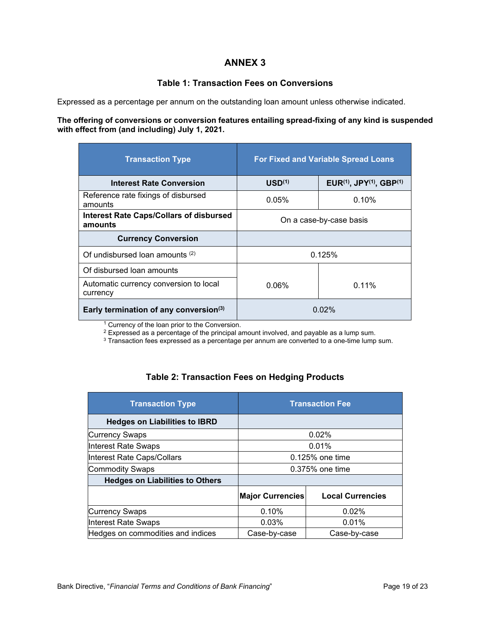#### **Table 1: Transaction Fees on Conversions**

Expressed as a percentage per annum on the outstanding loan amount unless otherwise indicated.

#### **The offering of conversions or conversion features entailing spread-fixing of any kind is suspended with effect from (and including) July 1, 2021.**

| <b>Transaction Type</b>                                   | <b>For Fixed and Variable Spread Loans</b> |                                                              |
|-----------------------------------------------------------|--------------------------------------------|--------------------------------------------------------------|
| <b>Interest Rate Conversion</b>                           | USD <sup>(1)</sup>                         | EUR <sup>(1)</sup> , JPY <sup>(1)</sup> , GBP <sup>(1)</sup> |
| Reference rate fixings of disbursed<br>amounts            | 0.05%                                      | $0.10\%$                                                     |
| <b>Interest Rate Caps/Collars of disbursed</b><br>amounts | On a case-by-case basis                    |                                                              |
| <b>Currency Conversion</b>                                |                                            |                                                              |
| Of undisbursed loan amounts $(2)$                         | 0.125%                                     |                                                              |
| Of disbursed loan amounts                                 |                                            |                                                              |
| Automatic currency conversion to local<br>currency        | 0.06%                                      | $0.11\%$                                                     |
| Early termination of any conversion(3)                    | 0 02%                                      |                                                              |

<sup>1</sup> Currency of the loan prior to the Conversion.

 $^2$  Expressed as a percentage of the principal amount involved, and payable as a lump sum.<br><sup>3</sup> Transaction fees expressed as a percentage per annum are converted to a one-time lump sum.

## **Table 2: Transaction Fees on Hedging Products**

| <b>Transaction Type</b>                | <b>Transaction Fee</b>  |                         |
|----------------------------------------|-------------------------|-------------------------|
| <b>Hedges on Liabilities to IBRD</b>   |                         |                         |
| Currency Swaps                         | 0.02%                   |                         |
| Interest Rate Swaps                    | 0.01%                   |                         |
| Interest Rate Caps/Collars             | 0.125% one time         |                         |
| Commodity Swaps                        | 0.375% one time         |                         |
| <b>Hedges on Liabilities to Others</b> |                         |                         |
|                                        | <b>Major Currencies</b> | <b>Local Currencies</b> |
| Currency Swaps                         | 0.10%                   | 0.02%                   |
| Interest Rate Swaps                    | 0.03%                   | 0.01%                   |
| Hedges on commodities and indices      | Case-by-case            | Case-by-case            |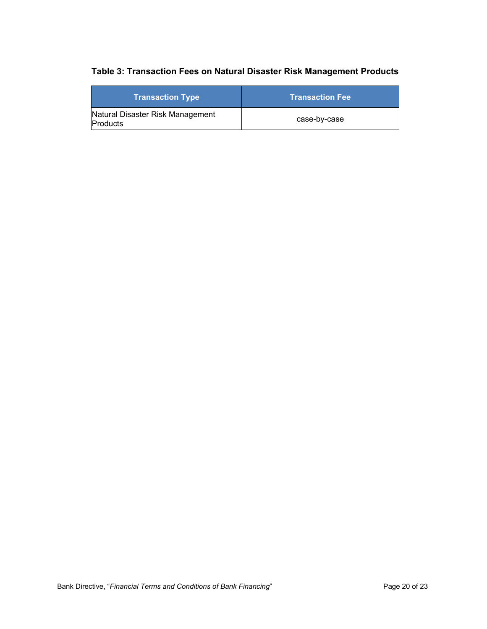## **Table 3: Transaction Fees on Natural Disaster Risk Management Products**

| <b>Transaction Type</b>                             | <b>Transaction Fee</b> |
|-----------------------------------------------------|------------------------|
| Natural Disaster Risk Management<br><b>Products</b> | case-by-case           |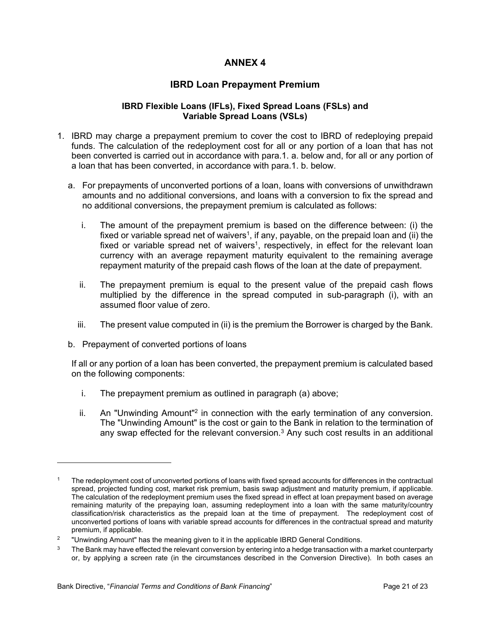## **IBRD Loan Prepayment Premium**

#### **IBRD Flexible Loans (IFLs), Fixed Spread Loans (FSLs) and Variable Spread Loans (VSLs)**

- 1. IBRD may charge a prepayment premium to cover the cost to IBRD of redeploying prepaid funds. The calculation of the redeployment cost for all or any portion of a loan that has not been converted is carried out in accordance with para.1. a. below and, for all or any portion of a loan that has been converted, in accordance with para.1. b. below.
	- a. For prepayments of unconverted portions of a loan, loans with conversions of unwithdrawn amounts and no additional conversions, and loans with a conversion to fix the spread and no additional conversions, the prepayment premium is calculated as follows:
		- i. The amount of the prepayment premium is based on the difference between: (i) the fixed or variable spread net of waivers<sup>1</sup>, if any, payable, on the prepaid loan and (ii) the fixed or variable spread net of waivers<sup>1</sup>, respectively, in effect for the relevant loan currency with an average repayment maturity equivalent to the remaining average repayment maturity of the prepaid cash flows of the loan at the date of prepayment.
		- ii. The prepayment premium is equal to the present value of the prepaid cash flows multiplied by the difference in the spread computed in sub-paragraph (i), with an assumed floor value of zero.
		- iii. The present value computed in (ii) is the premium the Borrower is charged by the Bank.
	- b. Prepayment of converted portions of loans

If all or any portion of a loan has been converted, the prepayment premium is calculated based on the following components:

- i. The prepayment premium as outlined in paragraph (a) above;
- ii. An "Unwinding Amount"<sup>2</sup> in connection with the early termination of any conversion. The "Unwinding Amount" is the cost or gain to the Bank in relation to the termination of any swap effected for the relevant conversion. $3$  Any such cost results in an additional

<sup>1</sup> The redeployment cost of unconverted portions of loans with fixed spread accounts for differences in the contractual spread, projected funding cost, market risk premium, basis swap adjustment and maturity premium, if applicable. The calculation of the redeployment premium uses the fixed spread in effect at loan prepayment based on average remaining maturity of the prepaying loan, assuming redeployment into a loan with the same maturity/country classification/risk characteristics as the prepaid loan at the time of prepayment. The redeployment cost of unconverted portions of loans with variable spread accounts for differences in the contractual spread and maturity premium, if applicable.

<sup>2</sup> "Unwinding Amount" has the meaning given to it in the applicable IBRD General Conditions.

<sup>3</sup> The Bank may have effected the relevant conversion by entering into a hedge transaction with a market counterparty or, by applying a screen rate (in the circumstances described in the Conversion Directive). In both cases an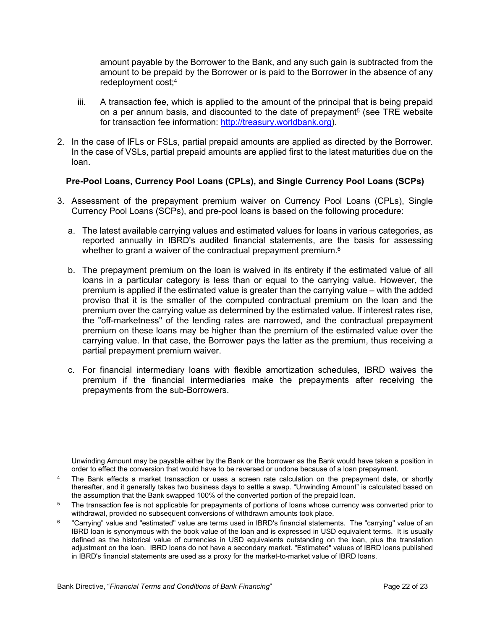amount payable by the Borrower to the Bank, and any such gain is subtracted from the amount to be prepaid by the Borrower or is paid to the Borrower in the absence of any redeployment cost;<sup>4</sup>

- iii. A transaction fee, which is applied to the amount of the principal that is being prepaid on a per annum basis, and discounted to the date of prepayment<sup>5</sup> (see TRE website for transaction fee information: [http://treasury.worldbank.org](http://treasury.worldbank.org/)).
- 2. In the case of IFLs or FSLs, partial prepaid amounts are applied as directed by the Borrower. In the case of VSLs, partial prepaid amounts are applied first to the latest maturities due on the loan.

#### **Pre-Pool Loans, Currency Pool Loans (CPLs), and Single Currency Pool Loans (SCPs)**

- 3. Assessment of the prepayment premium waiver on Currency Pool Loans (CPLs), Single Currency Pool Loans (SCPs), and pre-pool loans is based on the following procedure:
	- a. The latest available carrying values and estimated values for loans in various categories, as reported annually in IBRD's audited financial statements, are the basis for assessing whether to grant a waiver of the contractual prepayment premium.<sup>6</sup>
	- b. The prepayment premium on the loan is waived in its entirety if the estimated value of all loans in a particular category is less than or equal to the carrying value. However, the premium is applied if the estimated value is greater than the carrying value – with the added proviso that it is the smaller of the computed contractual premium on the loan and the premium over the carrying value as determined by the estimated value. If interest rates rise, the "off-marketness" of the lending rates are narrowed, and the contractual prepayment premium on these loans may be higher than the premium of the estimated value over the carrying value. In that case, the Borrower pays the latter as the premium, thus receiving a partial prepayment premium waiver.
	- c. For financial intermediary loans with flexible amortization schedules, IBRD waives the premium if the financial intermediaries make the prepayments after receiving the prepayments from the sub-Borrowers.

Unwinding Amount may be payable either by the Bank or the borrower as the Bank would have taken a position in order to effect the conversion that would have to be reversed or undone because of a loan prepayment.

<sup>4</sup> The Bank effects a market transaction or uses a screen rate calculation on the prepayment date, or shortly thereafter, and it generally takes two business days to settle a swap. "Unwinding Amount" is calculated based on the assumption that the Bank swapped 100% of the converted portion of the prepaid loan.

<sup>&</sup>lt;sup>5</sup> The transaction fee is not applicable for prepayments of portions of loans whose currency was converted prior to withdrawal, provided no subsequent conversions of withdrawn amounts took place.

<sup>6</sup> "Carrying" value and "estimated" value are terms used in IBRD's financial statements. The "carrying" value of an IBRD loan is synonymous with the book value of the loan and is expressed in USD equivalent terms. It is usually defined as the historical value of currencies in USD equivalents outstanding on the loan, plus the translation adjustment on the loan. IBRD loans do not have a secondary market. "Estimated" values of IBRD loans published in IBRD's financial statements are used as a proxy for the market-to-market value of IBRD loans.